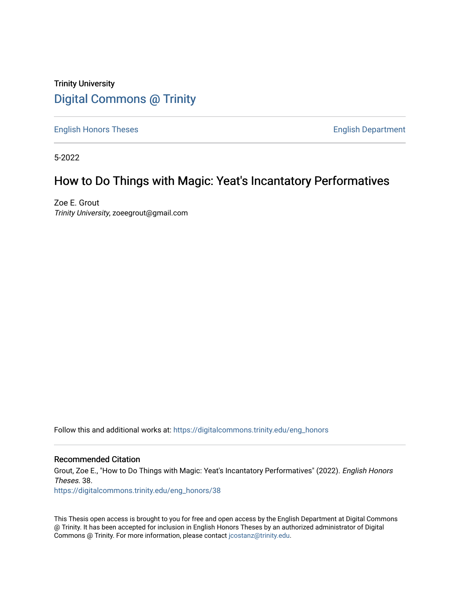# Trinity University [Digital Commons @ Trinity](https://digitalcommons.trinity.edu/)

[English Honors Theses](https://digitalcommons.trinity.edu/eng_honors) **English Department** 

5-2022

# How to Do Things with Magic: Yeat's Incantatory Performatives

Zoe E. Grout Trinity University, zoeegrout@gmail.com

Follow this and additional works at: [https://digitalcommons.trinity.edu/eng\\_honors](https://digitalcommons.trinity.edu/eng_honors?utm_source=digitalcommons.trinity.edu%2Feng_honors%2F38&utm_medium=PDF&utm_campaign=PDFCoverPages) 

## Recommended Citation

Grout, Zoe E., "How to Do Things with Magic: Yeat's Incantatory Performatives" (2022). English Honors Theses. 38.

[https://digitalcommons.trinity.edu/eng\\_honors/38](https://digitalcommons.trinity.edu/eng_honors/38?utm_source=digitalcommons.trinity.edu%2Feng_honors%2F38&utm_medium=PDF&utm_campaign=PDFCoverPages) 

This Thesis open access is brought to you for free and open access by the English Department at Digital Commons @ Trinity. It has been accepted for inclusion in English Honors Theses by an authorized administrator of Digital Commons @ Trinity. For more information, please contact [jcostanz@trinity.edu.](mailto:jcostanz@trinity.edu)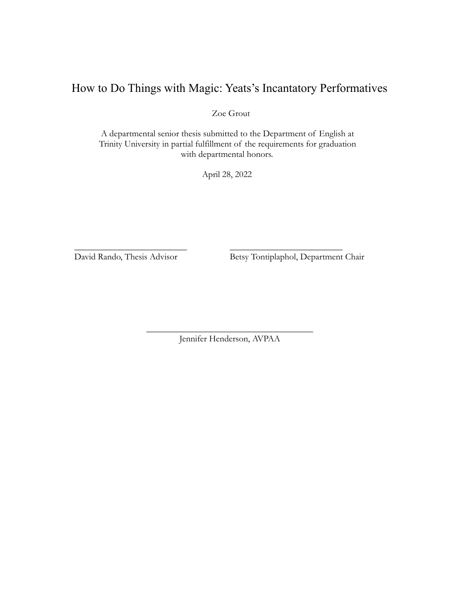# How to Do Things with Magic: Yeats's Incantatory Performatives

Zoe Grout

A departmental senior thesis submitted to the Department of English at Trinity University in partial fulfillment of the requirements for graduation with departmental honors.

April 28, 2022

\_\_\_\_\_\_\_\_\_\_\_\_\_\_\_\_\_\_\_\_\_\_\_\_\_ \_\_\_\_\_\_\_\_\_\_\_\_\_\_\_\_\_\_\_\_\_\_\_\_\_

David Rando, Thesis Advisor Betsy Tontiplaphol, Department Chair

\_\_\_\_\_\_\_\_\_\_\_\_\_\_\_\_\_\_\_\_\_\_\_\_\_\_\_\_\_\_\_\_\_\_\_\_\_ Jennifer Henderson, AVPAA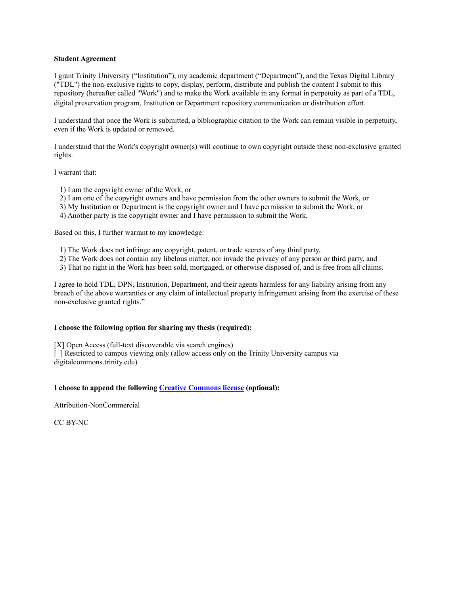#### **Student Agreement**

I grant Trinity University ("Institution"), my academic department ("Department"), and the Texas Digital Library ("TDL") the non-exclusive rights to copy, display, perform, distribute and publish the content I submit to this repository (hereafter called "Work") and to make the Work available in any format in perpetuity as part of a TDL, digital preservation program, Institution or Department repository communication or distribution effort.

I understand that once the Work is submitted, a bibliographic citation to the Work can remain visible in perpetuity, even if the Work is updated or removed.

I understand that the Work's copyright owner(s) will continue to own copyright outside these non-exclusive granted rights.

I warrant that:

- 1) I am the copyright owner of the Work, or
- 2) I am one of the copyright owners and have permission from the other owners to submit the Work, or
- 3) My Institution or Department is the copyright owner and I have permission to submit the Work, or
- 4) Another party is the copyright owner and I have permission to submit the Work.

Based on this, I further warrant to my knowledge:

- 1) The Work does not infringe any copyright, patent, or trade secrets of any third party,
- 2) The Work does not contain any libelous matter, nor invade the privacy of any person or third party, and
- 3) That no right in the Work has been sold, mortgaged, or otherwise disposed of, and is free from all claims.

I agree to hold TDL, DPN, Institution, Department, and their agents harmless for any liability arising from any breach of the above warranties or any claim of intellectual property infringement arising from the exercise of these non-exclusive granted rights."

#### **I choose the following option for sharing my thesis (required):**

[X] Open Access (full-text discoverable via search engines)

[ ] Restricted to campus viewing only (allow access only on the Trinity University campus via digitalcommons.trinity.edu)

### **I choose to append the following Creative [Commons](http://creativecommons.org/licenses/) license (optional):**

Attribution-NonCommercial

CC BY-NC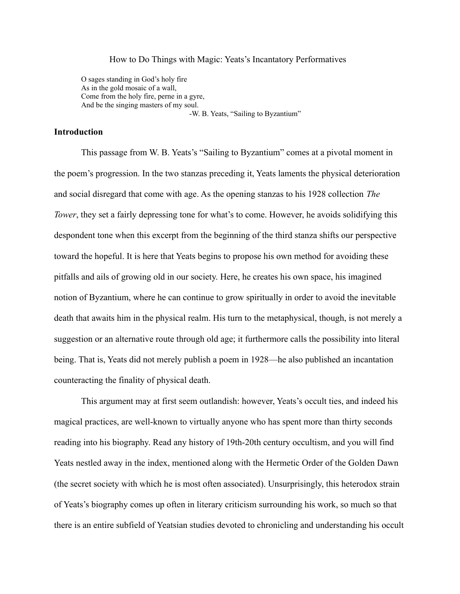## How to Do Things with Magic: Yeats's Incantatory Performatives

O sages standing in God's holy fire As in the gold mosaic of a wall, Come from the holy fire, perne in a gyre, And be the singing masters of my soul.

-W. B. Yeats, "Sailing to Byzantium"

# **Introduction**

This passage from W. B. Yeats's "Sailing to Byzantium" comes at a pivotal moment in the poem's progression. In the two stanzas preceding it, Yeats laments the physical deterioration and social disregard that come with age. As the opening stanzas to his 1928 collection *The Tower*, they set a fairly depressing tone for what's to come. However, he avoids solidifying this despondent tone when this excerpt from the beginning of the third stanza shifts our perspective toward the hopeful. It is here that Yeats begins to propose his own method for avoiding these pitfalls and ails of growing old in our society. Here, he creates his own space, his imagined notion of Byzantium, where he can continue to grow spiritually in order to avoid the inevitable death that awaits him in the physical realm. His turn to the metaphysical, though, is not merely a suggestion or an alternative route through old age; it furthermore calls the possibility into literal being. That is, Yeats did not merely publish a poem in 1928—he also published an incantation counteracting the finality of physical death.

This argument may at first seem outlandish: however, Yeats's occult ties, and indeed his magical practices, are well-known to virtually anyone who has spent more than thirty seconds reading into his biography. Read any history of 19th-20th century occultism, and you will find Yeats nestled away in the index, mentioned along with the Hermetic Order of the Golden Dawn (the secret society with which he is most often associated). Unsurprisingly, this heterodox strain of Yeats's biography comes up often in literary criticism surrounding his work, so much so that there is an entire subfield of Yeatsian studies devoted to chronicling and understanding his occult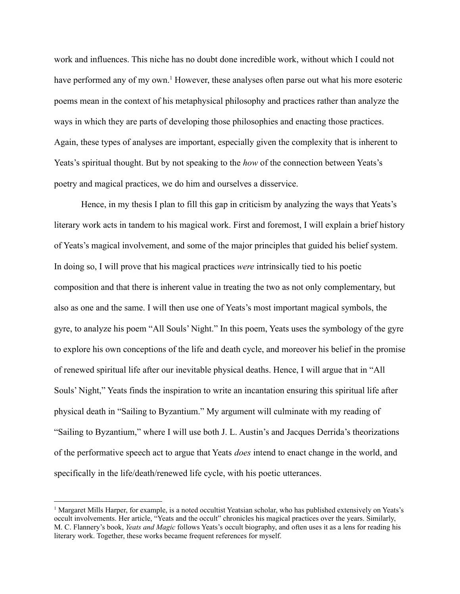work and influences. This niche has no doubt done incredible work, without which I could not have performed any of my own.<sup>1</sup> However, these analyses often parse out what his more esoteric poems mean in the context of his metaphysical philosophy and practices rather than analyze the ways in which they are parts of developing those philosophies and enacting those practices. Again, these types of analyses are important, especially given the complexity that is inherent to Yeats's spiritual thought. But by not speaking to the *how* of the connection between Yeats's poetry and magical practices, we do him and ourselves a disservice.

Hence, in my thesis I plan to fill this gap in criticism by analyzing the ways that Yeats's literary work acts in tandem to his magical work. First and foremost, I will explain a brief history of Yeats's magical involvement, and some of the major principles that guided his belief system. In doing so, I will prove that his magical practices *were* intrinsically tied to his poetic composition and that there is inherent value in treating the two as not only complementary, but also as one and the same. I will then use one of Yeats's most important magical symbols, the gyre, to analyze his poem "All Souls' Night." In this poem, Yeats uses the symbology of the gyre to explore his own conceptions of the life and death cycle, and moreover his belief in the promise of renewed spiritual life after our inevitable physical deaths. Hence, I will argue that in "All Souls' Night," Yeats finds the inspiration to write an incantation ensuring this spiritual life after physical death in "Sailing to Byzantium." My argument will culminate with my reading of "Sailing to Byzantium," where I will use both J. L. Austin's and Jacques Derrida's theorizations of the performative speech act to argue that Yeats *does* intend to enact change in the world, and specifically in the life/death/renewed life cycle, with his poetic utterances.

<sup>1</sup> Margaret Mills Harper, for example, is a noted occultist Yeatsian scholar, who has published extensively on Yeats's occult involvements. Her article, "Yeats and the occult" chronicles his magical practices over the years. Similarly, M. C. Flannery's book, *Yeats and Magic* follows Yeats's occult biography, and often uses it as a lens for reading his literary work. Together, these works became frequent references for myself.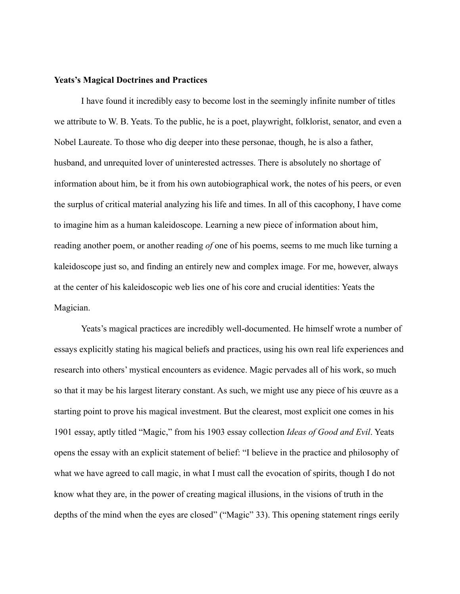## **Yeats's Magical Doctrines and Practices**

I have found it incredibly easy to become lost in the seemingly infinite number of titles we attribute to W. B. Yeats. To the public, he is a poet, playwright, folklorist, senator, and even a Nobel Laureate. To those who dig deeper into these personae, though, he is also a father, husband, and unrequited lover of uninterested actresses. There is absolutely no shortage of information about him, be it from his own autobiographical work, the notes of his peers, or even the surplus of critical material analyzing his life and times. In all of this cacophony, I have come to imagine him as a human kaleidoscope. Learning a new piece of information about him, reading another poem, or another reading *of* one of his poems, seems to me much like turning a kaleidoscope just so, and finding an entirely new and complex image. For me, however, always at the center of his kaleidoscopic web lies one of his core and crucial identities: Yeats the Magician.

Yeats's magical practices are incredibly well-documented. He himself wrote a number of essays explicitly stating his magical beliefs and practices, using his own real life experiences and research into others' mystical encounters as evidence. Magic pervades all of his work, so much so that it may be his largest literary constant. As such, we might use any piece of his œuvre as a starting point to prove his magical investment. But the clearest, most explicit one comes in his 1901 essay, aptly titled "Magic," from his 1903 essay collection *Ideas of Good and Evil*. Yeats opens the essay with an explicit statement of belief: "I believe in the practice and philosophy of what we have agreed to call magic, in what I must call the evocation of spirits, though I do not know what they are, in the power of creating magical illusions, in the visions of truth in the depths of the mind when the eyes are closed" ("Magic" 33). This opening statement rings eerily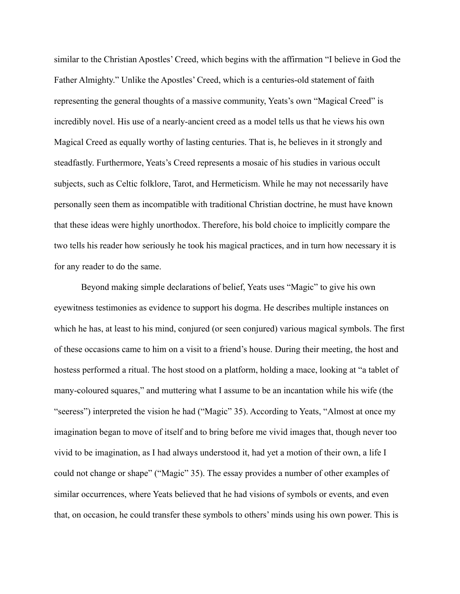similar to the Christian Apostles' Creed, which begins with the affirmation "I believe in God the Father Almighty." Unlike the Apostles' Creed, which is a centuries-old statement of faith representing the general thoughts of a massive community, Yeats's own "Magical Creed" is incredibly novel. His use of a nearly-ancient creed as a model tells us that he views his own Magical Creed as equally worthy of lasting centuries. That is, he believes in it strongly and steadfastly. Furthermore, Yeats's Creed represents a mosaic of his studies in various occult subjects, such as Celtic folklore, Tarot, and Hermeticism. While he may not necessarily have personally seen them as incompatible with traditional Christian doctrine, he must have known that these ideas were highly unorthodox. Therefore, his bold choice to implicitly compare the two tells his reader how seriously he took his magical practices, and in turn how necessary it is for any reader to do the same.

Beyond making simple declarations of belief, Yeats uses "Magic" to give his own eyewitness testimonies as evidence to support his dogma. He describes multiple instances on which he has, at least to his mind, conjured (or seen conjured) various magical symbols. The first of these occasions came to him on a visit to a friend's house. During their meeting, the host and hostess performed a ritual. The host stood on a platform, holding a mace, looking at "a tablet of many-coloured squares," and muttering what I assume to be an incantation while his wife (the "seeress") interpreted the vision he had ("Magic" 35). According to Yeats, "Almost at once my imagination began to move of itself and to bring before me vivid images that, though never too vivid to be imagination, as I had always understood it, had yet a motion of their own, a life I could not change or shape" ("Magic" 35). The essay provides a number of other examples of similar occurrences, where Yeats believed that he had visions of symbols or events, and even that, on occasion, he could transfer these symbols to others' minds using his own power. This is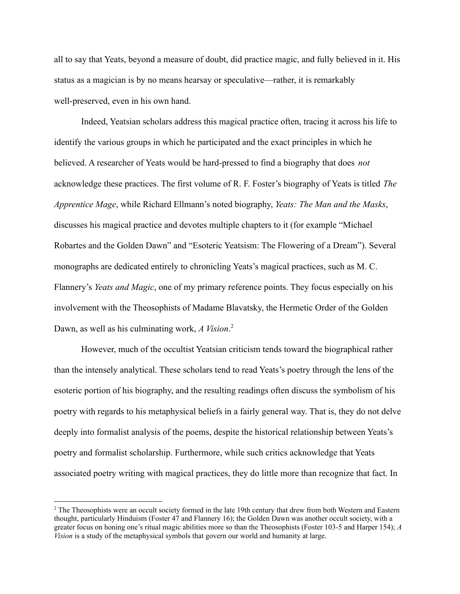all to say that Yeats, beyond a measure of doubt, did practice magic, and fully believed in it. His status as a magician is by no means hearsay or speculative—rather, it is remarkably well-preserved, even in his own hand.

Indeed, Yeatsian scholars address this magical practice often, tracing it across his life to identify the various groups in which he participated and the exact principles in which he believed. A researcher of Yeats would be hard-pressed to find a biography that does *not* acknowledge these practices. The first volume of R. F. Foster's biography of Yeats is titled *The Apprentice Mage*, while Richard Ellmann's noted biography, *Yeats: The Man and the Masks*, discusses his magical practice and devotes multiple chapters to it (for example "Michael Robartes and the Golden Dawn" and "Esoteric Yeatsism: The Flowering of a Dream"). Several monographs are dedicated entirely to chronicling Yeats's magical practices, such as M. C. Flannery's *Yeats and Magic*, one of my primary reference points. They focus especially on his involvement with the Theosophists of Madame Blavatsky, the Hermetic Order of the Golden Dawn, as well as his culminating work, *A Vision*. 2

However, much of the occultist Yeatsian criticism tends toward the biographical rather than the intensely analytical. These scholars tend to read Yeats's poetry through the lens of the esoteric portion of his biography, and the resulting readings often discuss the symbolism of his poetry with regards to his metaphysical beliefs in a fairly general way. That is, they do not delve deeply into formalist analysis of the poems, despite the historical relationship between Yeats's poetry and formalist scholarship. Furthermore, while such critics acknowledge that Yeats associated poetry writing with magical practices, they do little more than recognize that fact. In

<sup>&</sup>lt;sup>2</sup> The Theosophists were an occult society formed in the late 19th century that drew from both Western and Eastern thought, particularly Hinduism (Foster 47 and Flannery 16); the Golden Dawn was another occult society, with a greater focus on honing one's ritual magic abilities more so than the Theosophists (Foster 103-5 and Harper 154); *A Vision* is a study of the metaphysical symbols that govern our world and humanity at large.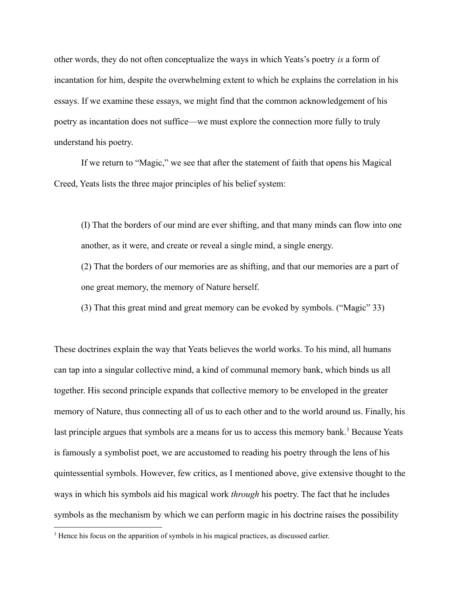other words, they do not often conceptualize the ways in which Yeats's poetry *is* a form of incantation for him, despite the overwhelming extent to which he explains the correlation in his essays. If we examine these essays, we might find that the common acknowledgement of his poetry as incantation does not suffice—we must explore the connection more fully to truly understand his poetry.

If we return to "Magic," we see that after the statement of faith that opens his Magical Creed, Yeats lists the three major principles of his belief system:

(I) That the borders of our mind are ever shifting, and that many minds can flow into one another, as it were, and create or reveal a single mind, a single energy.

(2) That the borders of our memories are as shifting, and that our memories are a part of one great memory, the memory of Nature herself.

(3) That this great mind and great memory can be evoked by symbols. ("Magic" 33)

These doctrines explain the way that Yeats believes the world works. To his mind, all humans can tap into a singular collective mind, a kind of communal memory bank, which binds us all together. His second principle expands that collective memory to be enveloped in the greater memory of Nature, thus connecting all of us to each other and to the world around us. Finally, his last principle argues that symbols are a means for us to access this memory bank.<sup>3</sup> Because Yeats is famously a symbolist poet, we are accustomed to reading his poetry through the lens of his quintessential symbols. However, few critics, as I mentioned above, give extensive thought to the ways in which his symbols aid his magical work *through* his poetry. The fact that he includes symbols as the mechanism by which we can perform magic in his doctrine raises the possibility

<sup>&</sup>lt;sup>3</sup> Hence his focus on the apparition of symbols in his magical practices, as discussed earlier.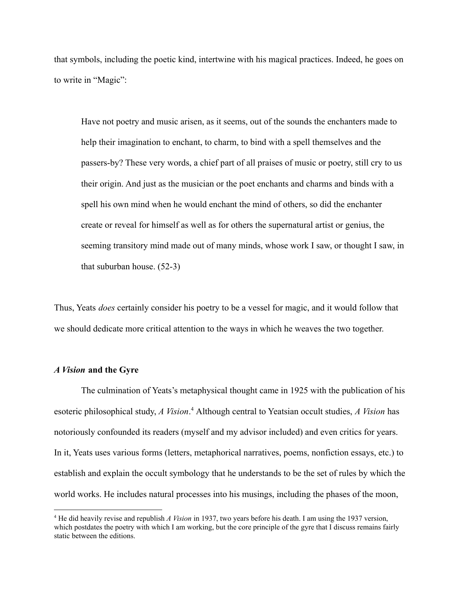that symbols, including the poetic kind, intertwine with his magical practices. Indeed, he goes on to write in "Magic":

Have not poetry and music arisen, as it seems, out of the sounds the enchanters made to help their imagination to enchant, to charm, to bind with a spell themselves and the passers-by? These very words, a chief part of all praises of music or poetry, still cry to us their origin. And just as the musician or the poet enchants and charms and binds with a spell his own mind when he would enchant the mind of others, so did the enchanter create or reveal for himself as well as for others the supernatural artist or genius, the seeming transitory mind made out of many minds, whose work I saw, or thought I saw, in that suburban house. (52-3)

Thus, Yeats *does* certainly consider his poetry to be a vessel for magic, and it would follow that we should dedicate more critical attention to the ways in which he weaves the two together.

### *A Vision* **and the Gyre**

The culmination of Yeats's metaphysical thought came in 1925 with the publication of his esoteric philosophical study, *A Vision*.<sup>4</sup> Although central to Yeatsian occult studies, *A Vision* has notoriously confounded its readers (myself and my advisor included) and even critics for years. In it, Yeats uses various forms (letters, metaphorical narratives, poems, nonfiction essays, etc.) to establish and explain the occult symbology that he understands to be the set of rules by which the world works. He includes natural processes into his musings, including the phases of the moon,

<sup>4</sup> He did heavily revise and republish *A Vision* in 1937, two years before his death. I am using the 1937 version, which postdates the poetry with which I am working, but the core principle of the gyre that I discuss remains fairly static between the editions.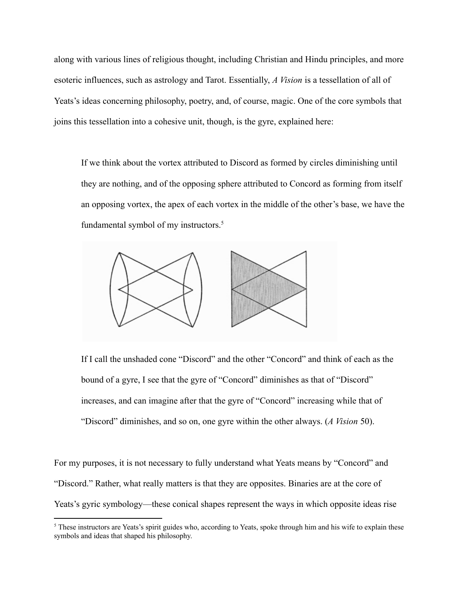along with various lines of religious thought, including Christian and Hindu principles, and more esoteric influences, such as astrology and Tarot. Essentially, *A Vision* is a tessellation of all of Yeats's ideas concerning philosophy, poetry, and, of course, magic. One of the core symbols that joins this tessellation into a cohesive unit, though, is the gyre, explained here:

If we think about the vortex attributed to Discord as formed by circles diminishing until they are nothing, and of the opposing sphere attributed to Concord as forming from itself an opposing vortex, the apex of each vortex in the middle of the other's base, we have the fundamental symbol of my instructors.<sup>5</sup>



If I call the unshaded cone "Discord" and the other "Concord" and think of each as the bound of a gyre, I see that the gyre of "Concord" diminishes as that of "Discord" increases, and can imagine after that the gyre of "Concord" increasing while that of "Discord" diminishes, and so on, one gyre within the other always. (*A Vision* 50).

For my purposes, it is not necessary to fully understand what Yeats means by "Concord" and "Discord." Rather, what really matters is that they are opposites. Binaries are at the core of Yeats's gyric symbology—these conical shapes represent the ways in which opposite ideas rise

<sup>&</sup>lt;sup>5</sup> These instructors are Yeats's spirit guides who, according to Yeats, spoke through him and his wife to explain these symbols and ideas that shaped his philosophy.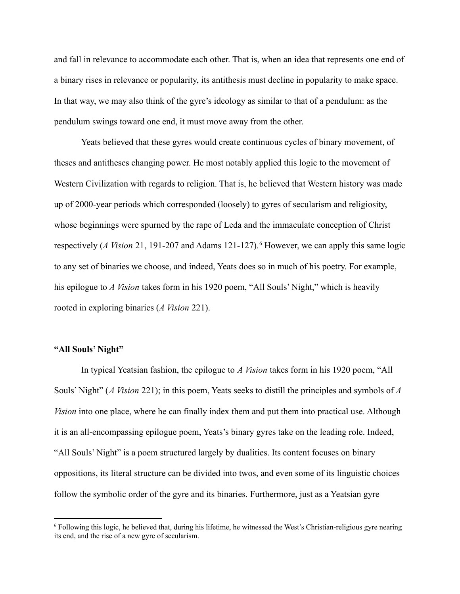and fall in relevance to accommodate each other. That is, when an idea that represents one end of a binary rises in relevance or popularity, its antithesis must decline in popularity to make space. In that way, we may also think of the gyre's ideology as similar to that of a pendulum: as the pendulum swings toward one end, it must move away from the other.

Yeats believed that these gyres would create continuous cycles of binary movement, of theses and antitheses changing power. He most notably applied this logic to the movement of Western Civilization with regards to religion. That is, he believed that Western history was made up of 2000-year periods which corresponded (loosely) to gyres of secularism and religiosity, whose beginnings were spurned by the rape of Leda and the immaculate conception of Christ respectively (*A Vision* 21, 191-207 and Adams 121-127).<sup>6</sup> However, we can apply this same logic to any set of binaries we choose, and indeed, Yeats does so in much of his poetry. For example, his epilogue to *A Vision* takes form in his 1920 poem, "All Souls' Night," which is heavily rooted in exploring binaries (*A Vision* 221).

# **"All Souls' Night"**

In typical Yeatsian fashion, the epilogue to *A Vision* takes form in his 1920 poem, "All Souls' Night" (*A Vision* 221); in this poem, Yeats seeks to distill the principles and symbols of *A Vision* into one place, where he can finally index them and put them into practical use. Although it is an all-encompassing epilogue poem, Yeats's binary gyres take on the leading role. Indeed, "All Souls' Night" is a poem structured largely by dualities. Its content focuses on binary oppositions, its literal structure can be divided into twos, and even some of its linguistic choices follow the symbolic order of the gyre and its binaries. Furthermore, just as a Yeatsian gyre

<sup>6</sup> Following this logic, he believed that, during his lifetime, he witnessed the West's Christian-religious gyre nearing its end, and the rise of a new gyre of secularism.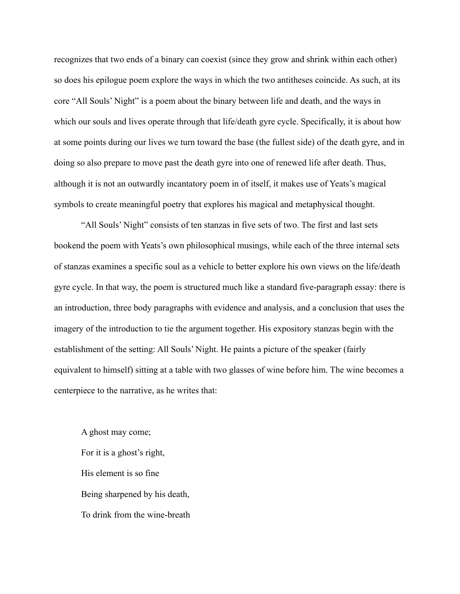recognizes that two ends of a binary can coexist (since they grow and shrink within each other) so does his epilogue poem explore the ways in which the two antitheses coincide. As such, at its core "All Souls' Night" is a poem about the binary between life and death, and the ways in which our souls and lives operate through that life/death gyre cycle. Specifically, it is about how at some points during our lives we turn toward the base (the fullest side) of the death gyre, and in doing so also prepare to move past the death gyre into one of renewed life after death. Thus, although it is not an outwardly incantatory poem in of itself, it makes use of Yeats's magical symbols to create meaningful poetry that explores his magical and metaphysical thought.

"All Souls' Night" consists of ten stanzas in five sets of two. The first and last sets bookend the poem with Yeats's own philosophical musings, while each of the three internal sets of stanzas examines a specific soul as a vehicle to better explore his own views on the life/death gyre cycle. In that way, the poem is structured much like a standard five-paragraph essay: there is an introduction, three body paragraphs with evidence and analysis, and a conclusion that uses the imagery of the introduction to tie the argument together. His expository stanzas begin with the establishment of the setting: All Souls' Night. He paints a picture of the speaker (fairly equivalent to himself) sitting at a table with two glasses of wine before him. The wine becomes a centerpiece to the narrative, as he writes that:

A ghost may come; For it is a ghost's right, His element is so fine Being sharpened by his death, To drink from the wine-breath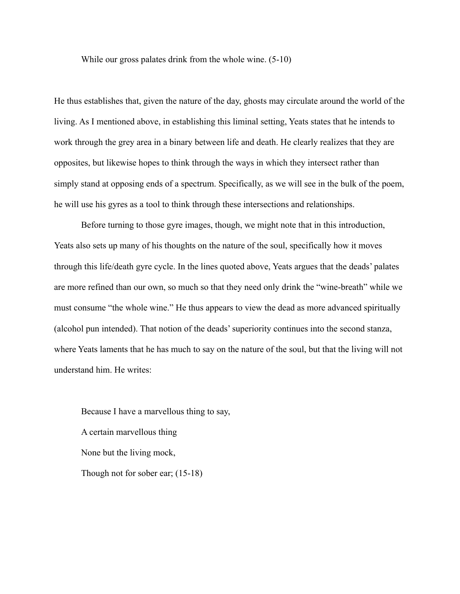While our gross palates drink from the whole wine. (5-10)

He thus establishes that, given the nature of the day, ghosts may circulate around the world of the living. As I mentioned above, in establishing this liminal setting, Yeats states that he intends to work through the grey area in a binary between life and death. He clearly realizes that they are opposites, but likewise hopes to think through the ways in which they intersect rather than simply stand at opposing ends of a spectrum. Specifically, as we will see in the bulk of the poem, he will use his gyres as a tool to think through these intersections and relationships.

Before turning to those gyre images, though, we might note that in this introduction, Yeats also sets up many of his thoughts on the nature of the soul, specifically how it moves through this life/death gyre cycle. In the lines quoted above, Yeats argues that the deads' palates are more refined than our own, so much so that they need only drink the "wine-breath" while we must consume "the whole wine." He thus appears to view the dead as more advanced spiritually (alcohol pun intended). That notion of the deads' superiority continues into the second stanza, where Yeats laments that he has much to say on the nature of the soul, but that the living will not understand him. He writes:

Because I have a marvellous thing to say, A certain marvellous thing None but the living mock, Though not for sober ear; (15-18)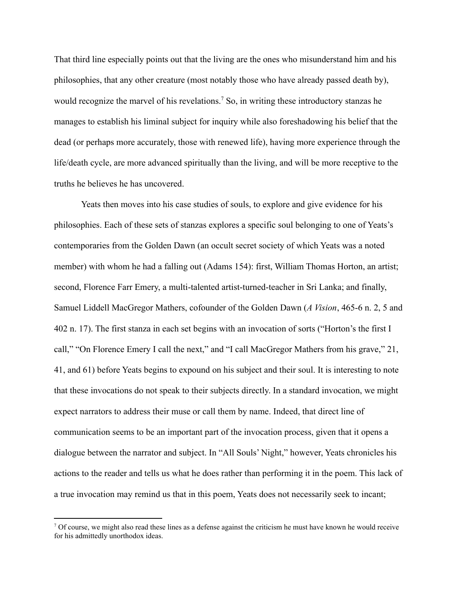That third line especially points out that the living are the ones who misunderstand him and his philosophies, that any other creature (most notably those who have already passed death by), would recognize the marvel of his revelations.<sup>7</sup> So, in writing these introductory stanzas he manages to establish his liminal subject for inquiry while also foreshadowing his belief that the dead (or perhaps more accurately, those with renewed life), having more experience through the life/death cycle, are more advanced spiritually than the living, and will be more receptive to the truths he believes he has uncovered.

Yeats then moves into his case studies of souls, to explore and give evidence for his philosophies. Each of these sets of stanzas explores a specific soul belonging to one of Yeats's contemporaries from the Golden Dawn (an occult secret society of which Yeats was a noted member) with whom he had a falling out (Adams 154): first, William Thomas Horton, an artist; second, Florence Farr Emery, a multi-talented artist-turned-teacher in Sri Lanka; and finally, Samuel Liddell MacGregor Mathers, cofounder of the Golden Dawn (*A Vision*, 465-6 n. 2, 5 and 402 n. 17). The first stanza in each set begins with an invocation of sorts ("Horton's the first I call," "On Florence Emery I call the next," and "I call MacGregor Mathers from his grave," 21, 41, and 61) before Yeats begins to expound on his subject and their soul. It is interesting to note that these invocations do not speak to their subjects directly. In a standard invocation, we might expect narrators to address their muse or call them by name. Indeed, that direct line of communication seems to be an important part of the invocation process, given that it opens a dialogue between the narrator and subject. In "All Souls' Night," however, Yeats chronicles his actions to the reader and tells us what he does rather than performing it in the poem. This lack of a true invocation may remind us that in this poem, Yeats does not necessarily seek to incant;

 $<sup>7</sup>$  Of course, we might also read these lines as a defense against the criticism he must have known he would receive</sup> for his admittedly unorthodox ideas.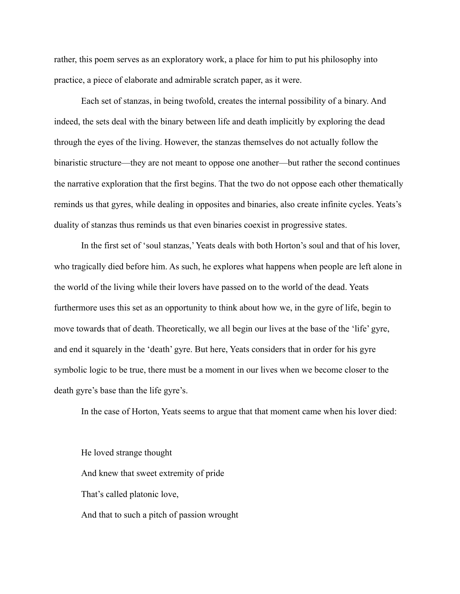rather, this poem serves as an exploratory work, a place for him to put his philosophy into practice, a piece of elaborate and admirable scratch paper, as it were.

Each set of stanzas, in being twofold, creates the internal possibility of a binary. And indeed, the sets deal with the binary between life and death implicitly by exploring the dead through the eyes of the living. However, the stanzas themselves do not actually follow the binaristic structure—they are not meant to oppose one another—but rather the second continues the narrative exploration that the first begins. That the two do not oppose each other thematically reminds us that gyres, while dealing in opposites and binaries, also create infinite cycles. Yeats's duality of stanzas thus reminds us that even binaries coexist in progressive states.

In the first set of 'soul stanzas,' Yeats deals with both Horton's soul and that of his lover, who tragically died before him. As such, he explores what happens when people are left alone in the world of the living while their lovers have passed on to the world of the dead. Yeats furthermore uses this set as an opportunity to think about how we, in the gyre of life, begin to move towards that of death. Theoretically, we all begin our lives at the base of the 'life' gyre, and end it squarely in the 'death' gyre. But here, Yeats considers that in order for his gyre symbolic logic to be true, there must be a moment in our lives when we become closer to the death gyre's base than the life gyre's.

In the case of Horton, Yeats seems to argue that that moment came when his lover died:

He loved strange thought And knew that sweet extremity of pride That's called platonic love, And that to such a pitch of passion wrought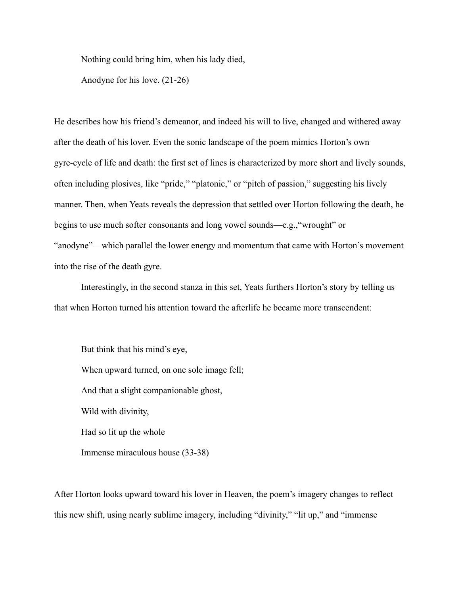Nothing could bring him, when his lady died,

Anodyne for his love. (21-26)

He describes how his friend's demeanor, and indeed his will to live, changed and withered away after the death of his lover. Even the sonic landscape of the poem mimics Horton's own gyre-cycle of life and death: the first set of lines is characterized by more short and lively sounds, often including plosives, like "pride," "platonic," or "pitch of passion," suggesting his lively manner. Then, when Yeats reveals the depression that settled over Horton following the death, he begins to use much softer consonants and long vowel sounds—e.g.,"wrought" or "anodyne"—which parallel the lower energy and momentum that came with Horton's movement into the rise of the death gyre.

Interestingly, in the second stanza in this set, Yeats furthers Horton's story by telling us that when Horton turned his attention toward the afterlife he became more transcendent:

But think that his mind's eye, When upward turned, on one sole image fell; And that a slight companionable ghost, Wild with divinity, Had so lit up the whole Immense miraculous house (33-38)

After Horton looks upward toward his lover in Heaven, the poem's imagery changes to reflect this new shift, using nearly sublime imagery, including "divinity," "lit up," and "immense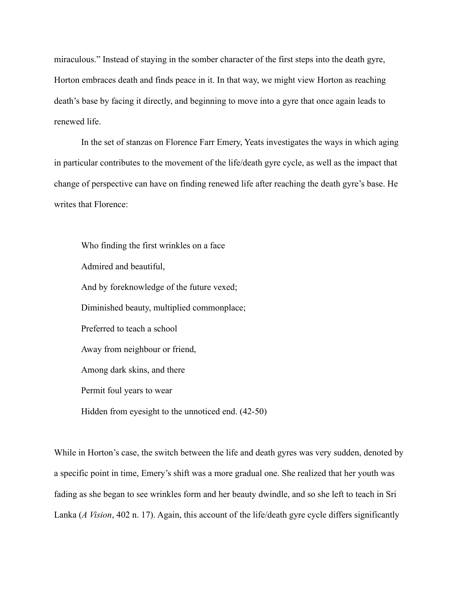miraculous." Instead of staying in the somber character of the first steps into the death gyre, Horton embraces death and finds peace in it. In that way, we might view Horton as reaching death's base by facing it directly, and beginning to move into a gyre that once again leads to renewed life.

In the set of stanzas on Florence Farr Emery, Yeats investigates the ways in which aging in particular contributes to the movement of the life/death gyre cycle, as well as the impact that change of perspective can have on finding renewed life after reaching the death gyre's base. He writes that Florence:

Who finding the first wrinkles on a face Admired and beautiful, And by foreknowledge of the future vexed; Diminished beauty, multiplied commonplace; Preferred to teach a school Away from neighbour or friend, Among dark skins, and there Permit foul years to wear Hidden from eyesight to the unnoticed end. (42-50)

While in Horton's case, the switch between the life and death gyres was very sudden, denoted by a specific point in time, Emery's shift was a more gradual one. She realized that her youth was fading as she began to see wrinkles form and her beauty dwindle, and so she left to teach in Sri Lanka (*A Vision*, 402 n. 17). Again, this account of the life/death gyre cycle differs significantly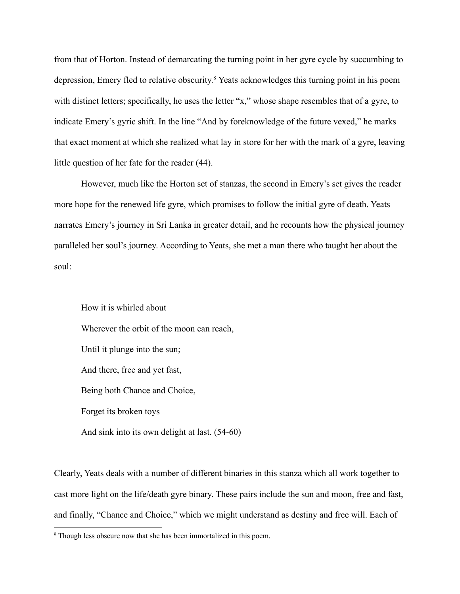from that of Horton. Instead of demarcating the turning point in her gyre cycle by succumbing to depression, Emery fled to relative obscurity. <sup>8</sup> Yeats acknowledges this turning point in his poem with distinct letters; specifically, he uses the letter "x," whose shape resembles that of a gyre, to indicate Emery's gyric shift. In the line "And by foreknowledge of the future vexed," he marks that exact moment at which she realized what lay in store for her with the mark of a gyre, leaving little question of her fate for the reader (44).

However, much like the Horton set of stanzas, the second in Emery's set gives the reader more hope for the renewed life gyre, which promises to follow the initial gyre of death. Yeats narrates Emery's journey in Sri Lanka in greater detail, and he recounts how the physical journey paralleled her soul's journey. According to Yeats, she met a man there who taught her about the soul:

How it is whirled about Wherever the orbit of the moon can reach, Until it plunge into the sun; And there, free and yet fast, Being both Chance and Choice, Forget its broken toys And sink into its own delight at last. (54-60)

Clearly, Yeats deals with a number of different binaries in this stanza which all work together to cast more light on the life/death gyre binary. These pairs include the sun and moon, free and fast, and finally, "Chance and Choice," which we might understand as destiny and free will. Each of

<sup>8</sup> Though less obscure now that she has been immortalized in this poem.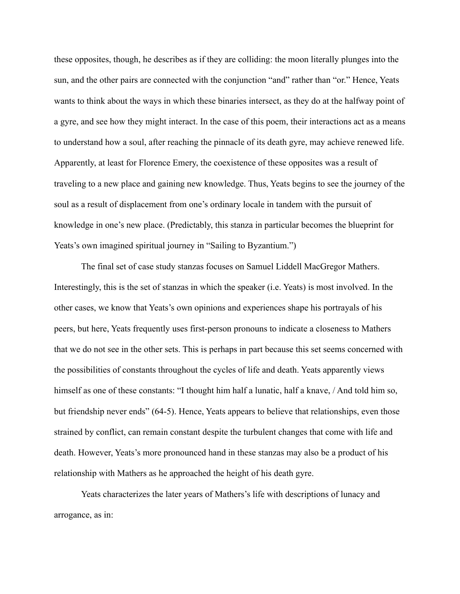these opposites, though, he describes as if they are colliding: the moon literally plunges into the sun, and the other pairs are connected with the conjunction "and" rather than "or." Hence, Yeats wants to think about the ways in which these binaries intersect, as they do at the halfway point of a gyre, and see how they might interact. In the case of this poem, their interactions act as a means to understand how a soul, after reaching the pinnacle of its death gyre, may achieve renewed life. Apparently, at least for Florence Emery, the coexistence of these opposites was a result of traveling to a new place and gaining new knowledge. Thus, Yeats begins to see the journey of the soul as a result of displacement from one's ordinary locale in tandem with the pursuit of knowledge in one's new place. (Predictably, this stanza in particular becomes the blueprint for Yeats's own imagined spiritual journey in "Sailing to Byzantium.")

The final set of case study stanzas focuses on Samuel Liddell MacGregor Mathers. Interestingly, this is the set of stanzas in which the speaker (i.e. Yeats) is most involved. In the other cases, we know that Yeats's own opinions and experiences shape his portrayals of his peers, but here, Yeats frequently uses first-person pronouns to indicate a closeness to Mathers that we do not see in the other sets. This is perhaps in part because this set seems concerned with the possibilities of constants throughout the cycles of life and death. Yeats apparently views himself as one of these constants: "I thought him half a lunatic, half a knave, / And told him so, but friendship never ends" (64-5). Hence, Yeats appears to believe that relationships, even those strained by conflict, can remain constant despite the turbulent changes that come with life and death. However, Yeats's more pronounced hand in these stanzas may also be a product of his relationship with Mathers as he approached the height of his death gyre.

Yeats characterizes the later years of Mathers's life with descriptions of lunacy and arrogance, as in: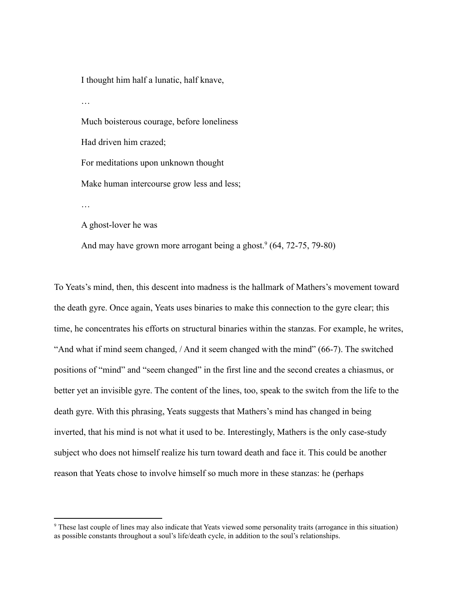I thought him half a lunatic, half knave,

…

Much boisterous courage, before loneliness

Had driven him crazed;

For meditations upon unknown thought

Make human intercourse grow less and less;

…

A ghost-lover he was

And may have grown more arrogant being a ghost.<sup>9</sup> (64, 72-75, 79-80)

To Yeats's mind, then, this descent into madness is the hallmark of Mathers's movement toward the death gyre. Once again, Yeats uses binaries to make this connection to the gyre clear; this time, he concentrates his efforts on structural binaries within the stanzas. For example, he writes, "And what if mind seem changed, / And it seem changed with the mind" (66-7). The switched positions of "mind" and "seem changed" in the first line and the second creates a chiasmus, or better yet an invisible gyre. The content of the lines, too, speak to the switch from the life to the death gyre. With this phrasing, Yeats suggests that Mathers's mind has changed in being inverted, that his mind is not what it used to be. Interestingly, Mathers is the only case-study subject who does not himself realize his turn toward death and face it. This could be another reason that Yeats chose to involve himself so much more in these stanzas: he (perhaps

<sup>&</sup>lt;sup>9</sup> These last couple of lines may also indicate that Yeats viewed some personality traits (arrogance in this situation) as possible constants throughout a soul's life/death cycle, in addition to the soul's relationships.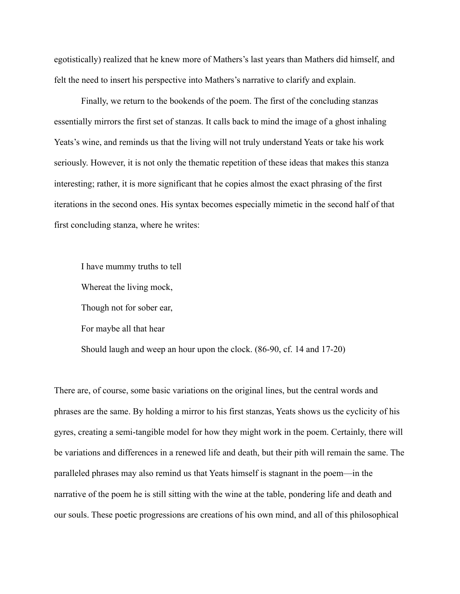egotistically) realized that he knew more of Mathers's last years than Mathers did himself, and felt the need to insert his perspective into Mathers's narrative to clarify and explain.

Finally, we return to the bookends of the poem. The first of the concluding stanzas essentially mirrors the first set of stanzas. It calls back to mind the image of a ghost inhaling Yeats's wine, and reminds us that the living will not truly understand Yeats or take his work seriously. However, it is not only the thematic repetition of these ideas that makes this stanza interesting; rather, it is more significant that he copies almost the exact phrasing of the first iterations in the second ones. His syntax becomes especially mimetic in the second half of that first concluding stanza, where he writes:

I have mummy truths to tell Whereat the living mock, Though not for sober ear, For maybe all that hear Should laugh and weep an hour upon the clock. (86-90, cf. 14 and 17-20)

There are, of course, some basic variations on the original lines, but the central words and phrases are the same. By holding a mirror to his first stanzas, Yeats shows us the cyclicity of his gyres, creating a semi-tangible model for how they might work in the poem. Certainly, there will be variations and differences in a renewed life and death, but their pith will remain the same. The paralleled phrases may also remind us that Yeats himself is stagnant in the poem—in the narrative of the poem he is still sitting with the wine at the table, pondering life and death and our souls. These poetic progressions are creations of his own mind, and all of this philosophical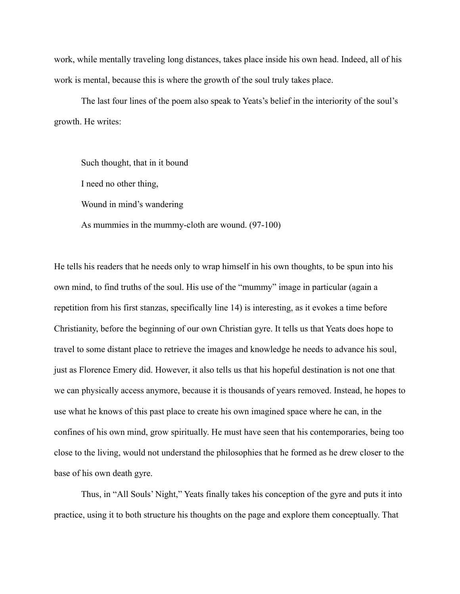work, while mentally traveling long distances, takes place inside his own head. Indeed, all of his work is mental, because this is where the growth of the soul truly takes place.

The last four lines of the poem also speak to Yeats's belief in the interiority of the soul's growth. He writes:

Such thought, that in it bound I need no other thing, Wound in mind's wandering As mummies in the mummy-cloth are wound. (97-100)

He tells his readers that he needs only to wrap himself in his own thoughts, to be spun into his own mind, to find truths of the soul. His use of the "mummy" image in particular (again a repetition from his first stanzas, specifically line 14) is interesting, as it evokes a time before Christianity, before the beginning of our own Christian gyre. It tells us that Yeats does hope to travel to some distant place to retrieve the images and knowledge he needs to advance his soul, just as Florence Emery did. However, it also tells us that his hopeful destination is not one that we can physically access anymore, because it is thousands of years removed. Instead, he hopes to use what he knows of this past place to create his own imagined space where he can, in the confines of his own mind, grow spiritually. He must have seen that his contemporaries, being too close to the living, would not understand the philosophies that he formed as he drew closer to the base of his own death gyre.

Thus, in "All Souls' Night," Yeats finally takes his conception of the gyre and puts it into practice, using it to both structure his thoughts on the page and explore them conceptually. That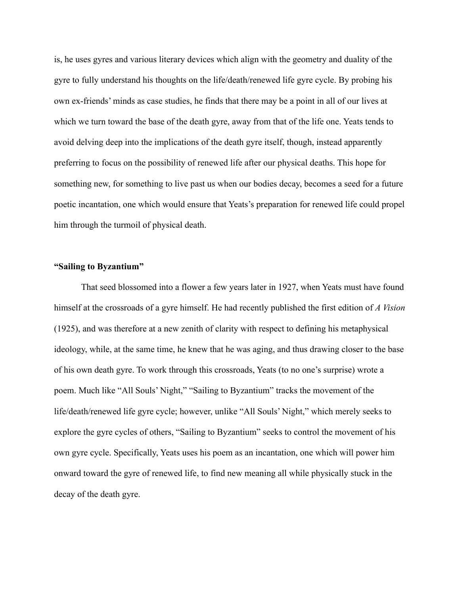is, he uses gyres and various literary devices which align with the geometry and duality of the gyre to fully understand his thoughts on the life/death/renewed life gyre cycle. By probing his own ex-friends' minds as case studies, he finds that there may be a point in all of our lives at which we turn toward the base of the death gyre, away from that of the life one. Yeats tends to avoid delving deep into the implications of the death gyre itself, though, instead apparently preferring to focus on the possibility of renewed life after our physical deaths. This hope for something new, for something to live past us when our bodies decay, becomes a seed for a future poetic incantation, one which would ensure that Yeats's preparation for renewed life could propel him through the turmoil of physical death.

## **"Sailing to Byzantium"**

That seed blossomed into a flower a few years later in 1927, when Yeats must have found himself at the crossroads of a gyre himself. He had recently published the first edition of *A Vision* (1925), and was therefore at a new zenith of clarity with respect to defining his metaphysical ideology, while, at the same time, he knew that he was aging, and thus drawing closer to the base of his own death gyre. To work through this crossroads, Yeats (to no one's surprise) wrote a poem. Much like "All Souls' Night," "Sailing to Byzantium" tracks the movement of the life/death/renewed life gyre cycle; however, unlike "All Souls' Night," which merely seeks to explore the gyre cycles of others, "Sailing to Byzantium" seeks to control the movement of his own gyre cycle. Specifically, Yeats uses his poem as an incantation, one which will power him onward toward the gyre of renewed life, to find new meaning all while physically stuck in the decay of the death gyre.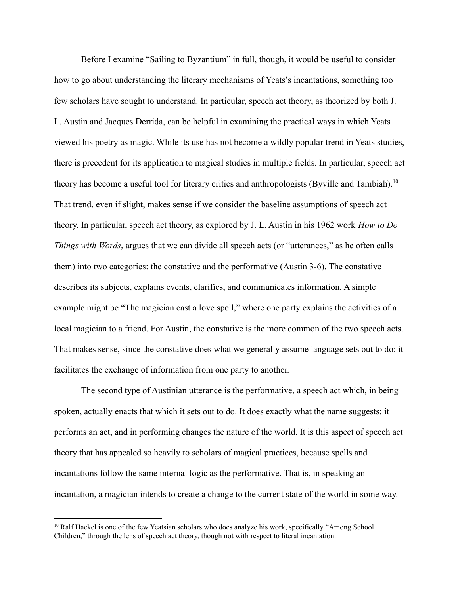Before I examine "Sailing to Byzantium" in full, though, it would be useful to consider how to go about understanding the literary mechanisms of Yeats's incantations, something too few scholars have sought to understand. In particular, speech act theory, as theorized by both J. L. Austin and Jacques Derrida, can be helpful in examining the practical ways in which Yeats viewed his poetry as magic. While its use has not become a wildly popular trend in Yeats studies, there is precedent for its application to magical studies in multiple fields. In particular, speech act theory has become a useful tool for literary critics and anthropologists (Byville and Tambiah).<sup>10</sup> That trend, even if slight, makes sense if we consider the baseline assumptions of speech act theory. In particular, speech act theory, as explored by J. L. Austin in his 1962 work *How to Do Things with Words*, argues that we can divide all speech acts (or "utterances," as he often calls them) into two categories: the constative and the performative (Austin 3-6). The constative describes its subjects, explains events, clarifies, and communicates information. A simple example might be "The magician cast a love spell," where one party explains the activities of a local magician to a friend. For Austin, the constative is the more common of the two speech acts. That makes sense, since the constative does what we generally assume language sets out to do: it facilitates the exchange of information from one party to another.

The second type of Austinian utterance is the performative, a speech act which, in being spoken, actually enacts that which it sets out to do. It does exactly what the name suggests: it performs an act, and in performing changes the nature of the world. It is this aspect of speech act theory that has appealed so heavily to scholars of magical practices, because spells and incantations follow the same internal logic as the performative. That is, in speaking an incantation, a magician intends to create a change to the current state of the world in some way.

<sup>&</sup>lt;sup>10</sup> Ralf Haekel is one of the few Yeatsian scholars who does analyze his work, specifically "Among School Children," through the lens of speech act theory, though not with respect to literal incantation.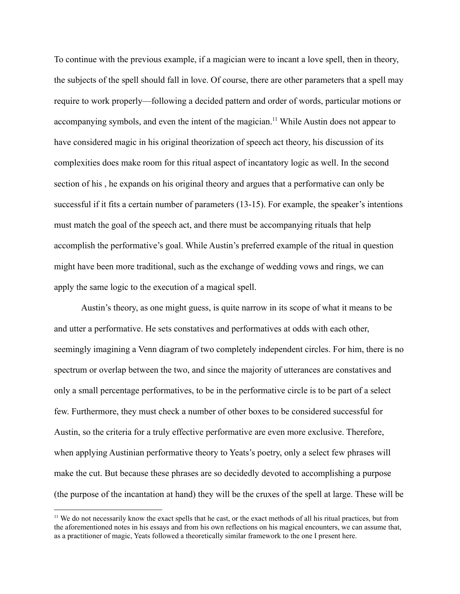To continue with the previous example, if a magician were to incant a love spell, then in theory, the subjects of the spell should fall in love. Of course, there are other parameters that a spell may require to work properly—following a decided pattern and order of words, particular motions or accompanying symbols, and even the intent of the magician.<sup>11</sup> While Austin does not appear to have considered magic in his original theorization of speech act theory, his discussion of its complexities does make room for this ritual aspect of incantatory logic as well. In the second section of his , he expands on his original theory and argues that a performative can only be successful if it fits a certain number of parameters (13-15). For example, the speaker's intentions must match the goal of the speech act, and there must be accompanying rituals that help accomplish the performative's goal. While Austin's preferred example of the ritual in question might have been more traditional, such as the exchange of wedding vows and rings, we can apply the same logic to the execution of a magical spell.

Austin's theory, as one might guess, is quite narrow in its scope of what it means to be and utter a performative. He sets constatives and performatives at odds with each other, seemingly imagining a Venn diagram of two completely independent circles. For him, there is no spectrum or overlap between the two, and since the majority of utterances are constatives and only a small percentage performatives, to be in the performative circle is to be part of a select few. Furthermore, they must check a number of other boxes to be considered successful for Austin, so the criteria for a truly effective performative are even more exclusive. Therefore, when applying Austinian performative theory to Yeats's poetry, only a select few phrases will make the cut. But because these phrases are so decidedly devoted to accomplishing a purpose (the purpose of the incantation at hand) they will be the cruxes of the spell at large. These will be

<sup>&</sup>lt;sup>11</sup> We do not necessarily know the exact spells that he cast, or the exact methods of all his ritual practices, but from the aforementioned notes in his essays and from his own reflections on his magical encounters, we can assume that, as a practitioner of magic, Yeats followed a theoretically similar framework to the one I present here.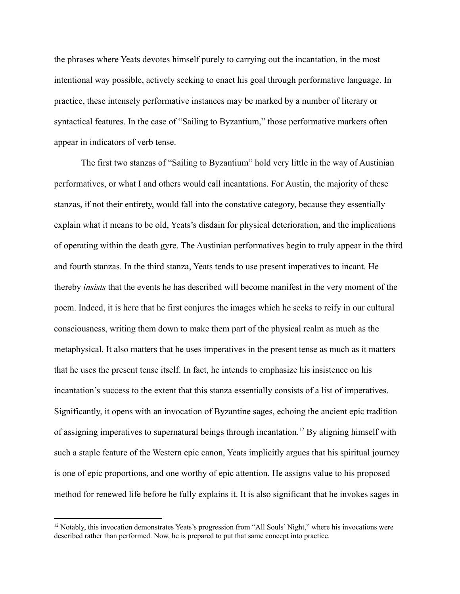the phrases where Yeats devotes himself purely to carrying out the incantation, in the most intentional way possible, actively seeking to enact his goal through performative language. In practice, these intensely performative instances may be marked by a number of literary or syntactical features. In the case of "Sailing to Byzantium," those performative markers often appear in indicators of verb tense.

The first two stanzas of "Sailing to Byzantium" hold very little in the way of Austinian performatives, or what I and others would call incantations. For Austin, the majority of these stanzas, if not their entirety, would fall into the constative category, because they essentially explain what it means to be old, Yeats's disdain for physical deterioration, and the implications of operating within the death gyre. The Austinian performatives begin to truly appear in the third and fourth stanzas. In the third stanza, Yeats tends to use present imperatives to incant. He thereby *insists* that the events he has described will become manifest in the very moment of the poem. Indeed, it is here that he first conjures the images which he seeks to reify in our cultural consciousness, writing them down to make them part of the physical realm as much as the metaphysical. It also matters that he uses imperatives in the present tense as much as it matters that he uses the present tense itself. In fact, he intends to emphasize his insistence on his incantation's success to the extent that this stanza essentially consists of a list of imperatives. Significantly, it opens with an invocation of Byzantine sages, echoing the ancient epic tradition of assigning imperatives to supernatural beings through incantation.<sup>12</sup> By aligning himself with such a staple feature of the Western epic canon, Yeats implicitly argues that his spiritual journey is one of epic proportions, and one worthy of epic attention. He assigns value to his proposed method for renewed life before he fully explains it. It is also significant that he invokes sages in

<sup>&</sup>lt;sup>12</sup> Notably, this invocation demonstrates Yeats's progression from "All Souls' Night," where his invocations were described rather than performed. Now, he is prepared to put that same concept into practice.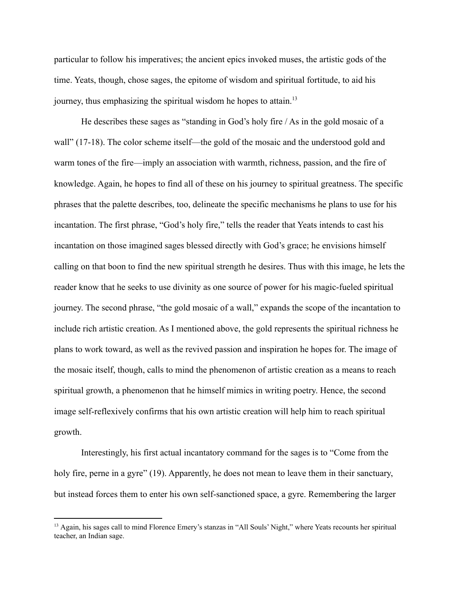particular to follow his imperatives; the ancient epics invoked muses, the artistic gods of the time. Yeats, though, chose sages, the epitome of wisdom and spiritual fortitude, to aid his journey, thus emphasizing the spiritual wisdom he hopes to attain.<sup>13</sup>

He describes these sages as "standing in God's holy fire / As in the gold mosaic of a wall" (17-18). The color scheme itself—the gold of the mosaic and the understood gold and warm tones of the fire—imply an association with warmth, richness, passion, and the fire of knowledge. Again, he hopes to find all of these on his journey to spiritual greatness. The specific phrases that the palette describes, too, delineate the specific mechanisms he plans to use for his incantation. The first phrase, "God's holy fire," tells the reader that Yeats intends to cast his incantation on those imagined sages blessed directly with God's grace; he envisions himself calling on that boon to find the new spiritual strength he desires. Thus with this image, he lets the reader know that he seeks to use divinity as one source of power for his magic-fueled spiritual journey. The second phrase, "the gold mosaic of a wall," expands the scope of the incantation to include rich artistic creation. As I mentioned above, the gold represents the spiritual richness he plans to work toward, as well as the revived passion and inspiration he hopes for. The image of the mosaic itself, though, calls to mind the phenomenon of artistic creation as a means to reach spiritual growth, a phenomenon that he himself mimics in writing poetry. Hence, the second image self-reflexively confirms that his own artistic creation will help him to reach spiritual growth.

Interestingly, his first actual incantatory command for the sages is to "Come from the holy fire, perne in a gyre" (19). Apparently, he does not mean to leave them in their sanctuary, but instead forces them to enter his own self-sanctioned space, a gyre. Remembering the larger

<sup>&</sup>lt;sup>13</sup> Again, his sages call to mind Florence Emery's stanzas in "All Souls' Night," where Yeats recounts her spiritual teacher, an Indian sage.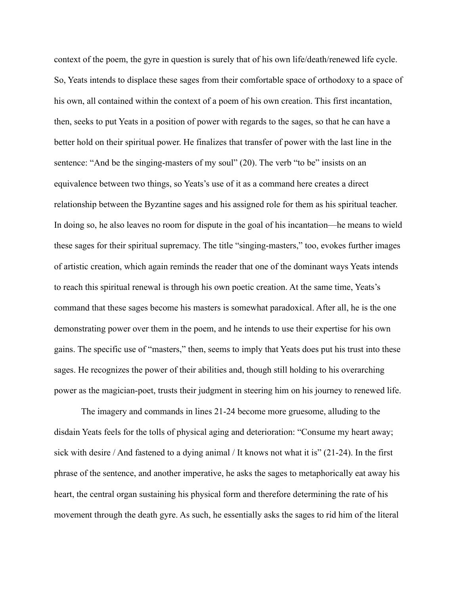context of the poem, the gyre in question is surely that of his own life/death/renewed life cycle. So, Yeats intends to displace these sages from their comfortable space of orthodoxy to a space of his own, all contained within the context of a poem of his own creation. This first incantation, then, seeks to put Yeats in a position of power with regards to the sages, so that he can have a better hold on their spiritual power. He finalizes that transfer of power with the last line in the sentence: "And be the singing-masters of my soul" (20). The verb "to be" insists on an equivalence between two things, so Yeats's use of it as a command here creates a direct relationship between the Byzantine sages and his assigned role for them as his spiritual teacher. In doing so, he also leaves no room for dispute in the goal of his incantation—he means to wield these sages for their spiritual supremacy. The title "singing-masters," too, evokes further images of artistic creation, which again reminds the reader that one of the dominant ways Yeats intends to reach this spiritual renewal is through his own poetic creation. At the same time, Yeats's command that these sages become his masters is somewhat paradoxical. After all, he is the one demonstrating power over them in the poem, and he intends to use their expertise for his own gains. The specific use of "masters," then, seems to imply that Yeats does put his trust into these sages. He recognizes the power of their abilities and, though still holding to his overarching power as the magician-poet, trusts their judgment in steering him on his journey to renewed life.

The imagery and commands in lines 21-24 become more gruesome, alluding to the disdain Yeats feels for the tolls of physical aging and deterioration: "Consume my heart away; sick with desire / And fastened to a dying animal / It knows not what it is" (21-24). In the first phrase of the sentence, and another imperative, he asks the sages to metaphorically eat away his heart, the central organ sustaining his physical form and therefore determining the rate of his movement through the death gyre. As such, he essentially asks the sages to rid him of the literal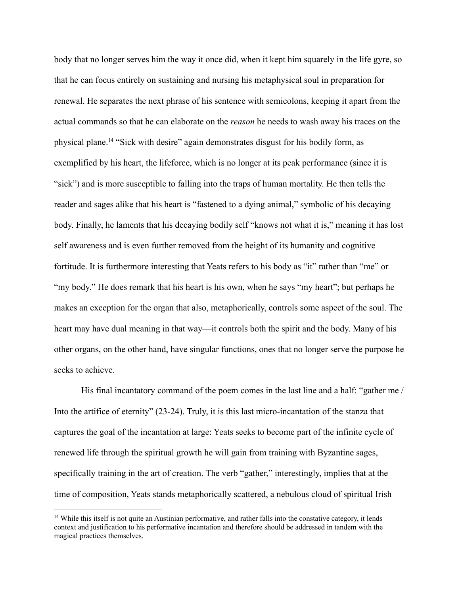body that no longer serves him the way it once did, when it kept him squarely in the life gyre, so that he can focus entirely on sustaining and nursing his metaphysical soul in preparation for renewal. He separates the next phrase of his sentence with semicolons, keeping it apart from the actual commands so that he can elaborate on the *reason* he needs to wash away his traces on the physical plane.<sup>14</sup> "Sick with desire" again demonstrates disgust for his bodily form, as exemplified by his heart, the lifeforce, which is no longer at its peak performance (since it is "sick") and is more susceptible to falling into the traps of human mortality. He then tells the reader and sages alike that his heart is "fastened to a dying animal," symbolic of his decaying body. Finally, he laments that his decaying bodily self "knows not what it is," meaning it has lost self awareness and is even further removed from the height of its humanity and cognitive fortitude. It is furthermore interesting that Yeats refers to his body as "it" rather than "me" or "my body." He does remark that his heart is his own, when he says "my heart"; but perhaps he makes an exception for the organ that also, metaphorically, controls some aspect of the soul. The heart may have dual meaning in that way—it controls both the spirit and the body. Many of his other organs, on the other hand, have singular functions, ones that no longer serve the purpose he seeks to achieve.

His final incantatory command of the poem comes in the last line and a half: "gather me / Into the artifice of eternity" (23-24). Truly, it is this last micro-incantation of the stanza that captures the goal of the incantation at large: Yeats seeks to become part of the infinite cycle of renewed life through the spiritual growth he will gain from training with Byzantine sages, specifically training in the art of creation. The verb "gather," interestingly, implies that at the time of composition, Yeats stands metaphorically scattered, a nebulous cloud of spiritual Irish

<sup>&</sup>lt;sup>14</sup> While this itself is not quite an Austinian performative, and rather falls into the constative category, it lends context and justification to his performative incantation and therefore should be addressed in tandem with the magical practices themselves.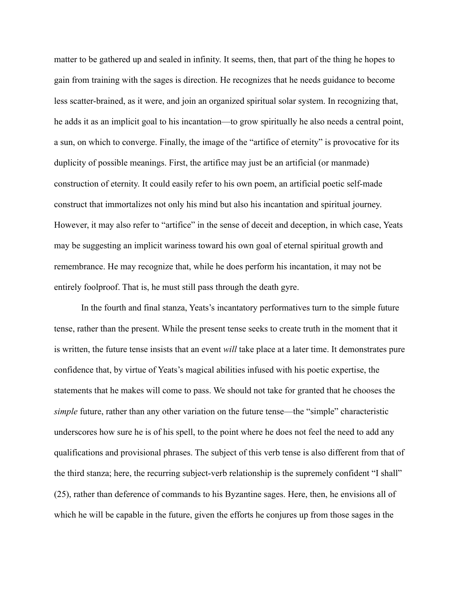matter to be gathered up and sealed in infinity. It seems, then, that part of the thing he hopes to gain from training with the sages is direction. He recognizes that he needs guidance to become less scatter-brained, as it were, and join an organized spiritual solar system. In recognizing that, he adds it as an implicit goal to his incantation—to grow spiritually he also needs a central point, a sun, on which to converge. Finally, the image of the "artifice of eternity" is provocative for its duplicity of possible meanings. First, the artifice may just be an artificial (or manmade) construction of eternity. It could easily refer to his own poem, an artificial poetic self-made construct that immortalizes not only his mind but also his incantation and spiritual journey. However, it may also refer to "artifice" in the sense of deceit and deception, in which case, Yeats may be suggesting an implicit wariness toward his own goal of eternal spiritual growth and remembrance. He may recognize that, while he does perform his incantation, it may not be entirely foolproof. That is, he must still pass through the death gyre.

In the fourth and final stanza, Yeats's incantatory performatives turn to the simple future tense, rather than the present. While the present tense seeks to create truth in the moment that it is written, the future tense insists that an event *will* take place at a later time. It demonstrates pure confidence that, by virtue of Yeats's magical abilities infused with his poetic expertise, the statements that he makes will come to pass. We should not take for granted that he chooses the *simple* future, rather than any other variation on the future tense—the "simple" characteristic underscores how sure he is of his spell, to the point where he does not feel the need to add any qualifications and provisional phrases. The subject of this verb tense is also different from that of the third stanza; here, the recurring subject-verb relationship is the supremely confident "I shall" (25), rather than deference of commands to his Byzantine sages. Here, then, he envisions all of which he will be capable in the future, given the efforts he conjures up from those sages in the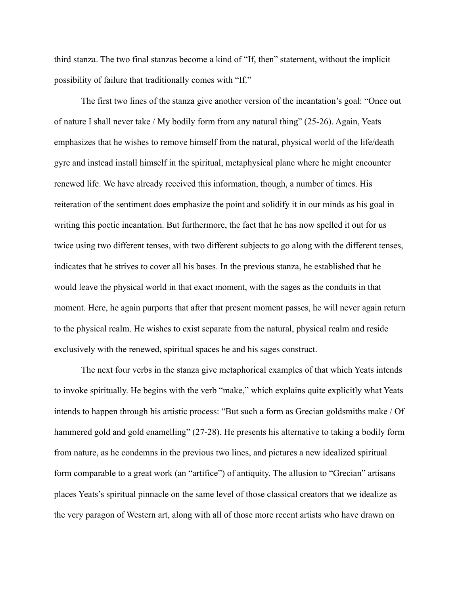third stanza. The two final stanzas become a kind of "If, then" statement, without the implicit possibility of failure that traditionally comes with "If."

The first two lines of the stanza give another version of the incantation's goal: "Once out of nature I shall never take / My bodily form from any natural thing" (25-26). Again, Yeats emphasizes that he wishes to remove himself from the natural, physical world of the life/death gyre and instead install himself in the spiritual, metaphysical plane where he might encounter renewed life. We have already received this information, though, a number of times. His reiteration of the sentiment does emphasize the point and solidify it in our minds as his goal in writing this poetic incantation. But furthermore, the fact that he has now spelled it out for us twice using two different tenses, with two different subjects to go along with the different tenses, indicates that he strives to cover all his bases. In the previous stanza, he established that he would leave the physical world in that exact moment, with the sages as the conduits in that moment. Here, he again purports that after that present moment passes, he will never again return to the physical realm. He wishes to exist separate from the natural, physical realm and reside exclusively with the renewed, spiritual spaces he and his sages construct.

The next four verbs in the stanza give metaphorical examples of that which Yeats intends to invoke spiritually. He begins with the verb "make," which explains quite explicitly what Yeats intends to happen through his artistic process: "But such a form as Grecian goldsmiths make / Of hammered gold and gold enamelling" (27-28). He presents his alternative to taking a bodily form from nature, as he condemns in the previous two lines, and pictures a new idealized spiritual form comparable to a great work (an "artifice") of antiquity. The allusion to "Grecian" artisans places Yeats's spiritual pinnacle on the same level of those classical creators that we idealize as the very paragon of Western art, along with all of those more recent artists who have drawn on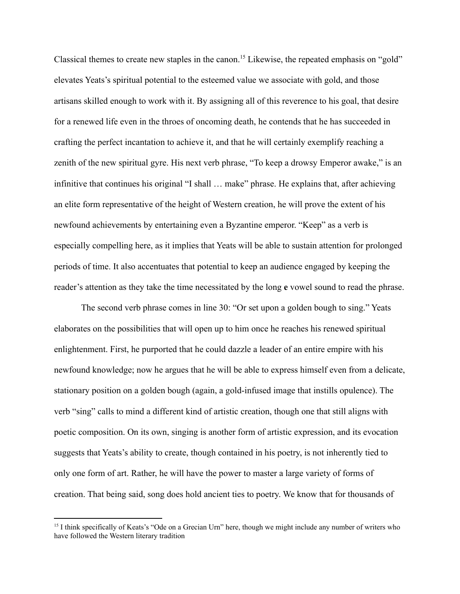Classical themes to create new staples in the canon.<sup>15</sup> Likewise, the repeated emphasis on "gold" elevates Yeats's spiritual potential to the esteemed value we associate with gold, and those artisans skilled enough to work with it. By assigning all of this reverence to his goal, that desire for a renewed life even in the throes of oncoming death, he contends that he has succeeded in crafting the perfect incantation to achieve it, and that he will certainly exemplify reaching a zenith of the new spiritual gyre. His next verb phrase, "To keep a drowsy Emperor awake," is an infinitive that continues his original "I shall … make" phrase. He explains that, after achieving an elite form representative of the height of Western creation, he will prove the extent of his newfound achievements by entertaining even a Byzantine emperor. "Keep" as a verb is especially compelling here, as it implies that Yeats will be able to sustain attention for prolonged periods of time. It also accentuates that potential to keep an audience engaged by keeping the reader's attention as they take the time necessitated by the long **e** vowel sound to read the phrase.

The second verb phrase comes in line 30: "Or set upon a golden bough to sing." Yeats elaborates on the possibilities that will open up to him once he reaches his renewed spiritual enlightenment. First, he purported that he could dazzle a leader of an entire empire with his newfound knowledge; now he argues that he will be able to express himself even from a delicate, stationary position on a golden bough (again, a gold-infused image that instills opulence). The verb "sing" calls to mind a different kind of artistic creation, though one that still aligns with poetic composition. On its own, singing is another form of artistic expression, and its evocation suggests that Yeats's ability to create, though contained in his poetry, is not inherently tied to only one form of art. Rather, he will have the power to master a large variety of forms of creation. That being said, song does hold ancient ties to poetry. We know that for thousands of

<sup>&</sup>lt;sup>15</sup> I think specifically of Keats's "Ode on a Grecian Urn" here, though we might include any number of writers who have followed the Western literary tradition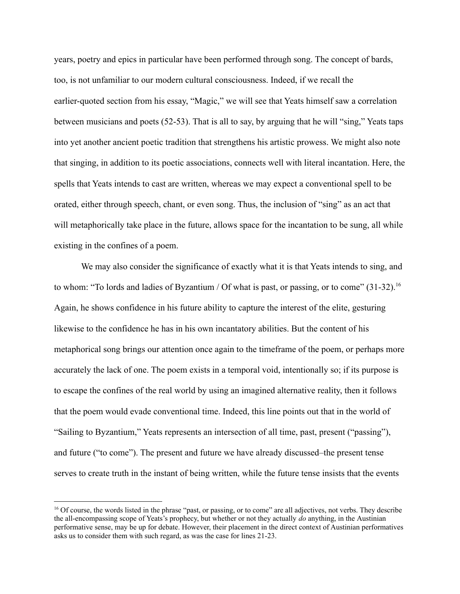years, poetry and epics in particular have been performed through song. The concept of bards, too, is not unfamiliar to our modern cultural consciousness. Indeed, if we recall the earlier-quoted section from his essay, "Magic," we will see that Yeats himself saw a correlation between musicians and poets (52-53). That is all to say, by arguing that he will "sing," Yeats taps into yet another ancient poetic tradition that strengthens his artistic prowess. We might also note that singing, in addition to its poetic associations, connects well with literal incantation. Here, the spells that Yeats intends to cast are written, whereas we may expect a conventional spell to be orated, either through speech, chant, or even song. Thus, the inclusion of "sing" as an act that will metaphorically take place in the future, allows space for the incantation to be sung, all while existing in the confines of a poem.

We may also consider the significance of exactly what it is that Yeats intends to sing, and to whom: "To lords and ladies of Byzantium / Of what is past, or passing, or to come" (31-32).<sup>16</sup> Again, he shows confidence in his future ability to capture the interest of the elite, gesturing likewise to the confidence he has in his own incantatory abilities. But the content of his metaphorical song brings our attention once again to the timeframe of the poem, or perhaps more accurately the lack of one. The poem exists in a temporal void, intentionally so; if its purpose is to escape the confines of the real world by using an imagined alternative reality, then it follows that the poem would evade conventional time. Indeed, this line points out that in the world of "Sailing to Byzantium," Yeats represents an intersection of all time, past, present ("passing"), and future ("to come"). The present and future we have already discussed–the present tense serves to create truth in the instant of being written, while the future tense insists that the events

<sup>&</sup>lt;sup>16</sup> Of course, the words listed in the phrase "past, or passing, or to come" are all adjectives, not verbs. They describe the all-encompassing scope of Yeats's prophecy, but whether or not they actually *do* anything, in the Austinian performative sense, may be up for debate. However, their placement in the direct context of Austinian performatives asks us to consider them with such regard, as was the case for lines 21-23.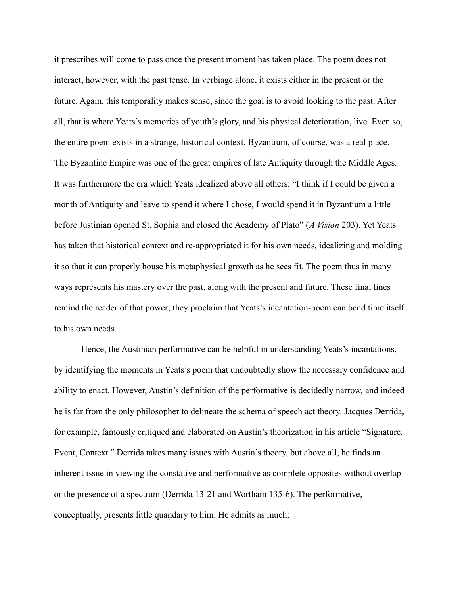it prescribes will come to pass once the present moment has taken place. The poem does not interact, however, with the past tense. In verbiage alone, it exists either in the present or the future. Again, this temporality makes sense, since the goal is to avoid looking to the past. After all, that is where Yeats's memories of youth's glory, and his physical deterioration, live. Even so, the entire poem exists in a strange, historical context. Byzantium, of course, was a real place. The Byzantine Empire was one of the great empires of late Antiquity through the Middle Ages. It was furthermore the era which Yeats idealized above all others: "I think if I could be given a month of Antiquity and leave to spend it where I chose, I would spend it in Byzantium a little before Justinian opened St. Sophia and closed the Academy of Plato" (*A Vision* 203). Yet Yeats has taken that historical context and re-appropriated it for his own needs, idealizing and molding it so that it can properly house his metaphysical growth as he sees fit. The poem thus in many ways represents his mastery over the past, along with the present and future. These final lines remind the reader of that power; they proclaim that Yeats's incantation-poem can bend time itself to his own needs.

Hence, the Austinian performative can be helpful in understanding Yeats's incantations, by identifying the moments in Yeats's poem that undoubtedly show the necessary confidence and ability to enact. However, Austin's definition of the performative is decidedly narrow, and indeed he is far from the only philosopher to delineate the schema of speech act theory. Jacques Derrida, for example, famously critiqued and elaborated on Austin's theorization in his article "Signature, Event, Context." Derrida takes many issues with Austin's theory, but above all, he finds an inherent issue in viewing the constative and performative as complete opposites without overlap or the presence of a spectrum (Derrida 13-21 and Wortham 135-6). The performative, conceptually, presents little quandary to him. He admits as much: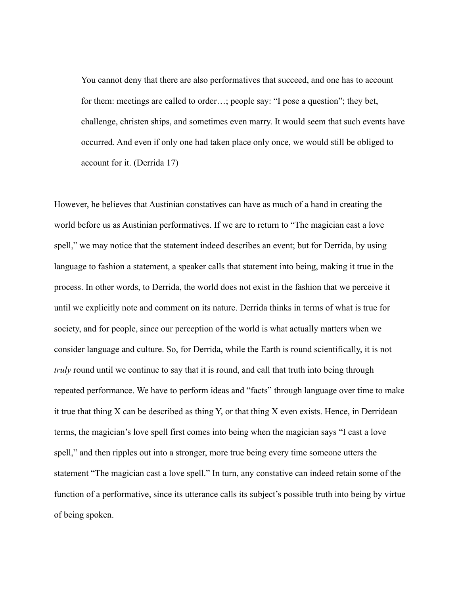You cannot deny that there are also performatives that succeed, and one has to account for them: meetings are called to order…; people say: "I pose a question"; they bet, challenge, christen ships, and sometimes even marry. It would seem that such events have occurred. And even if only one had taken place only once, we would still be obliged to account for it. (Derrida 17)

However, he believes that Austinian constatives can have as much of a hand in creating the world before us as Austinian performatives. If we are to return to "The magician cast a love spell," we may notice that the statement indeed describes an event; but for Derrida, by using language to fashion a statement, a speaker calls that statement into being, making it true in the process. In other words, to Derrida, the world does not exist in the fashion that we perceive it until we explicitly note and comment on its nature. Derrida thinks in terms of what is true for society, and for people, since our perception of the world is what actually matters when we consider language and culture. So, for Derrida, while the Earth is round scientifically, it is not *truly* round until we continue to say that it is round, and call that truth into being through repeated performance. We have to perform ideas and "facts" through language over time to make it true that thing X can be described as thing Y, or that thing X even exists. Hence, in Derridean terms, the magician's love spell first comes into being when the magician says "I cast a love spell," and then ripples out into a stronger, more true being every time someone utters the statement "The magician cast a love spell." In turn, any constative can indeed retain some of the function of a performative, since its utterance calls its subject's possible truth into being by virtue of being spoken.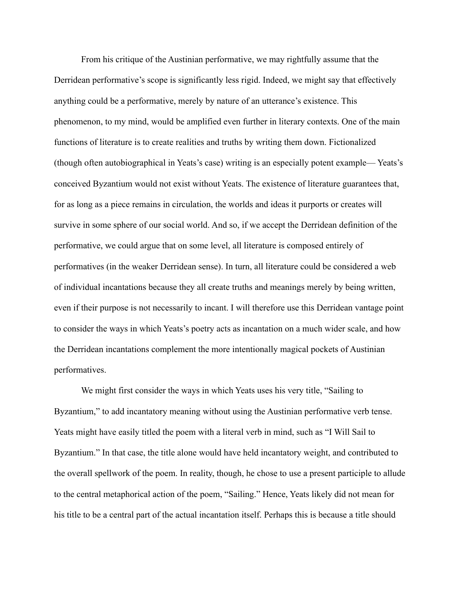From his critique of the Austinian performative, we may rightfully assume that the Derridean performative's scope is significantly less rigid. Indeed, we might say that effectively anything could be a performative, merely by nature of an utterance's existence. This phenomenon, to my mind, would be amplified even further in literary contexts. One of the main functions of literature is to create realities and truths by writing them down. Fictionalized (though often autobiographical in Yeats's case) writing is an especially potent example— Yeats's conceived Byzantium would not exist without Yeats. The existence of literature guarantees that, for as long as a piece remains in circulation, the worlds and ideas it purports or creates will survive in some sphere of our social world. And so, if we accept the Derridean definition of the performative, we could argue that on some level, all literature is composed entirely of performatives (in the weaker Derridean sense). In turn, all literature could be considered a web of individual incantations because they all create truths and meanings merely by being written, even if their purpose is not necessarily to incant. I will therefore use this Derridean vantage point to consider the ways in which Yeats's poetry acts as incantation on a much wider scale, and how the Derridean incantations complement the more intentionally magical pockets of Austinian performatives.

We might first consider the ways in which Yeats uses his very title, "Sailing to Byzantium," to add incantatory meaning without using the Austinian performative verb tense. Yeats might have easily titled the poem with a literal verb in mind, such as "I Will Sail to Byzantium." In that case, the title alone would have held incantatory weight, and contributed to the overall spellwork of the poem. In reality, though, he chose to use a present participle to allude to the central metaphorical action of the poem, "Sailing." Hence, Yeats likely did not mean for his title to be a central part of the actual incantation itself. Perhaps this is because a title should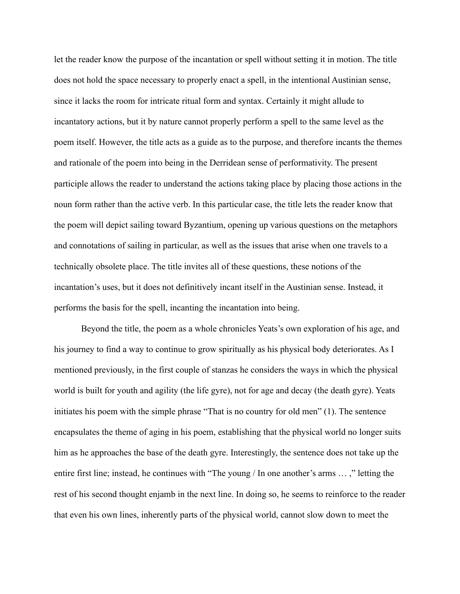let the reader know the purpose of the incantation or spell without setting it in motion. The title does not hold the space necessary to properly enact a spell, in the intentional Austinian sense, since it lacks the room for intricate ritual form and syntax. Certainly it might allude to incantatory actions, but it by nature cannot properly perform a spell to the same level as the poem itself. However, the title acts as a guide as to the purpose, and therefore incants the themes and rationale of the poem into being in the Derridean sense of performativity. The present participle allows the reader to understand the actions taking place by placing those actions in the noun form rather than the active verb. In this particular case, the title lets the reader know that the poem will depict sailing toward Byzantium, opening up various questions on the metaphors and connotations of sailing in particular, as well as the issues that arise when one travels to a technically obsolete place. The title invites all of these questions, these notions of the incantation's uses, but it does not definitively incant itself in the Austinian sense. Instead, it performs the basis for the spell, incanting the incantation into being.

Beyond the title, the poem as a whole chronicles Yeats's own exploration of his age, and his journey to find a way to continue to grow spiritually as his physical body deteriorates. As I mentioned previously, in the first couple of stanzas he considers the ways in which the physical world is built for youth and agility (the life gyre), not for age and decay (the death gyre). Yeats initiates his poem with the simple phrase "That is no country for old men" (1). The sentence encapsulates the theme of aging in his poem, establishing that the physical world no longer suits him as he approaches the base of the death gyre. Interestingly, the sentence does not take up the entire first line; instead, he continues with "The young / In one another's arms … ," letting the rest of his second thought enjamb in the next line. In doing so, he seems to reinforce to the reader that even his own lines, inherently parts of the physical world, cannot slow down to meet the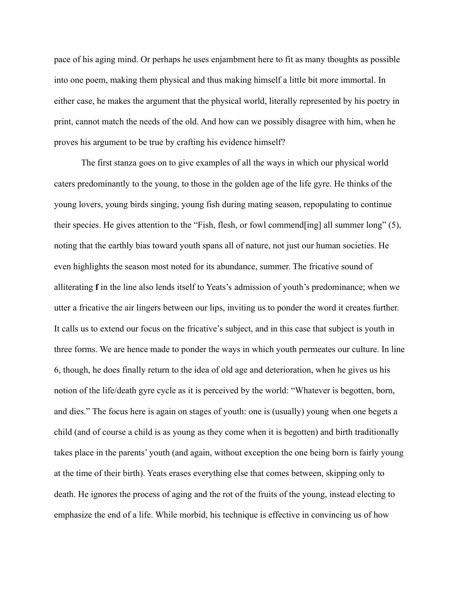pace of his aging mind. Or perhaps he uses enjambment here to fit as many thoughts as possible into one poem, making them physical and thus making himself a little bit more immortal. In either case, he makes the argument that the physical world, literally represented by his poetry in print, cannot match the needs of the old. And how can we possibly disagree with him, when he proves his argument to be true by crafting his evidence himself?

The first stanza goes on to give examples of all the ways in which our physical world caters predominantly to the young, to those in the golden age of the life gyre. He thinks of the young lovers, young birds singing, young fish during mating season, repopulating to continue their species. He gives attention to the "Fish, flesh, or fowl commend[ing] all summer long" (5), noting that the earthly bias toward youth spans all of nature, not just our human societies. He even highlights the season most noted for its abundance, summer. The fricative sound of alliterating **f** in the line also lends itself to Yeats's admission of youth's predominance; when we utter a fricative the air lingers between our lips, inviting us to ponder the word it creates further. It calls us to extend our focus on the fricative's subject, and in this case that subject is youth in three forms. We are hence made to ponder the ways in which youth permeates our culture. In line 6, though, he does finally return to the idea of old age and deterioration, when he gives us his notion of the life/death gyre cycle as it is perceived by the world: "Whatever is begotten, born, and dies." The focus here is again on stages of youth: one is (usually) young when one begets a child (and of course a child is as young as they come when it is begotten) and birth traditionally takes place in the parents' youth (and again, without exception the one being born is fairly young at the time of their birth). Yeats erases everything else that comes between, skipping only to death. He ignores the process of aging and the rot of the fruits of the young, instead electing to emphasize the end of a life. While morbid, his technique is effective in convincing us of how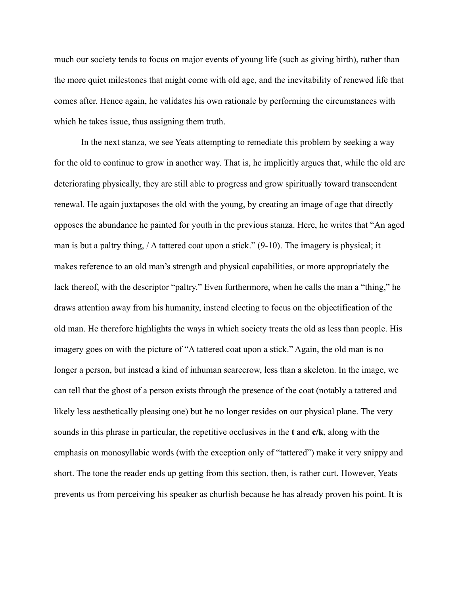much our society tends to focus on major events of young life (such as giving birth), rather than the more quiet milestones that might come with old age, and the inevitability of renewed life that comes after. Hence again, he validates his own rationale by performing the circumstances with which he takes issue, thus assigning them truth.

In the next stanza, we see Yeats attempting to remediate this problem by seeking a way for the old to continue to grow in another way. That is, he implicitly argues that, while the old are deteriorating physically, they are still able to progress and grow spiritually toward transcendent renewal. He again juxtaposes the old with the young, by creating an image of age that directly opposes the abundance he painted for youth in the previous stanza. Here, he writes that "An aged man is but a paltry thing, / A tattered coat upon a stick." (9-10). The imagery is physical; it makes reference to an old man's strength and physical capabilities, or more appropriately the lack thereof, with the descriptor "paltry." Even furthermore, when he calls the man a "thing," he draws attention away from his humanity, instead electing to focus on the objectification of the old man. He therefore highlights the ways in which society treats the old as less than people. His imagery goes on with the picture of "A tattered coat upon a stick." Again, the old man is no longer a person, but instead a kind of inhuman scarecrow, less than a skeleton. In the image, we can tell that the ghost of a person exists through the presence of the coat (notably a tattered and likely less aesthetically pleasing one) but he no longer resides on our physical plane. The very sounds in this phrase in particular, the repetitive occlusives in the **t** and **c/k**, along with the emphasis on monosyllabic words (with the exception only of "tattered") make it very snippy and short. The tone the reader ends up getting from this section, then, is rather curt. However, Yeats prevents us from perceiving his speaker as churlish because he has already proven his point. It is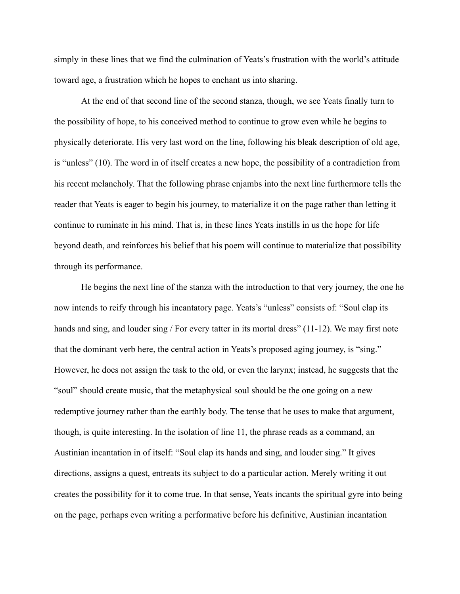simply in these lines that we find the culmination of Yeats's frustration with the world's attitude toward age, a frustration which he hopes to enchant us into sharing.

At the end of that second line of the second stanza, though, we see Yeats finally turn to the possibility of hope, to his conceived method to continue to grow even while he begins to physically deteriorate. His very last word on the line, following his bleak description of old age, is "unless" (10). The word in of itself creates a new hope, the possibility of a contradiction from his recent melancholy. That the following phrase enjambs into the next line furthermore tells the reader that Yeats is eager to begin his journey, to materialize it on the page rather than letting it continue to ruminate in his mind. That is, in these lines Yeats instills in us the hope for life beyond death, and reinforces his belief that his poem will continue to materialize that possibility through its performance.

He begins the next line of the stanza with the introduction to that very journey, the one he now intends to reify through his incantatory page. Yeats's "unless" consists of: "Soul clap its hands and sing, and louder sing / For every tatter in its mortal dress" (11-12). We may first note that the dominant verb here, the central action in Yeats's proposed aging journey, is "sing." However, he does not assign the task to the old, or even the larynx; instead, he suggests that the "soul" should create music, that the metaphysical soul should be the one going on a new redemptive journey rather than the earthly body. The tense that he uses to make that argument, though, is quite interesting. In the isolation of line 11, the phrase reads as a command, an Austinian incantation in of itself: "Soul clap its hands and sing, and louder sing." It gives directions, assigns a quest, entreats its subject to do a particular action. Merely writing it out creates the possibility for it to come true. In that sense, Yeats incants the spiritual gyre into being on the page, perhaps even writing a performative before his definitive, Austinian incantation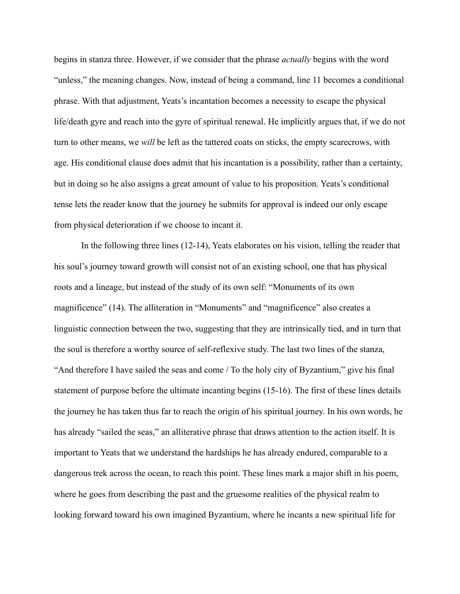begins in stanza three. However, if we consider that the phrase *actually* begins with the word "unless," the meaning changes. Now, instead of being a command, line 11 becomes a conditional phrase. With that adjustment, Yeats's incantation becomes a necessity to escape the physical life/death gyre and reach into the gyre of spiritual renewal. He implicitly argues that, if we do not turn to other means, we *will* be left as the tattered coats on sticks, the empty scarecrows, with age. His conditional clause does admit that his incantation is a possibility, rather than a certainty, but in doing so he also assigns a great amount of value to his proposition. Yeats's conditional tense lets the reader know that the journey he submits for approval is indeed our only escape from physical deterioration if we choose to incant it.

In the following three lines (12-14), Yeats elaborates on his vision, telling the reader that his soul's journey toward growth will consist not of an existing school, one that has physical roots and a lineage, but instead of the study of its own self: "Monuments of its own magnificence" (14). The alliteration in "Monuments" and "magnificence" also creates a linguistic connection between the two, suggesting that they are intrinsically tied, and in turn that the soul is therefore a worthy source of self-reflexive study. The last two lines of the stanza, "And therefore I have sailed the seas and come / To the holy city of Byzantium," give his final statement of purpose before the ultimate incanting begins (15-16). The first of these lines details the journey he has taken thus far to reach the origin of his spiritual journey. In his own words, he has already "sailed the seas," an alliterative phrase that draws attention to the action itself. It is important to Yeats that we understand the hardships he has already endured, comparable to a dangerous trek across the ocean, to reach this point. These lines mark a major shift in his poem, where he goes from describing the past and the gruesome realities of the physical realm to looking forward toward his own imagined Byzantium, where he incants a new spiritual life for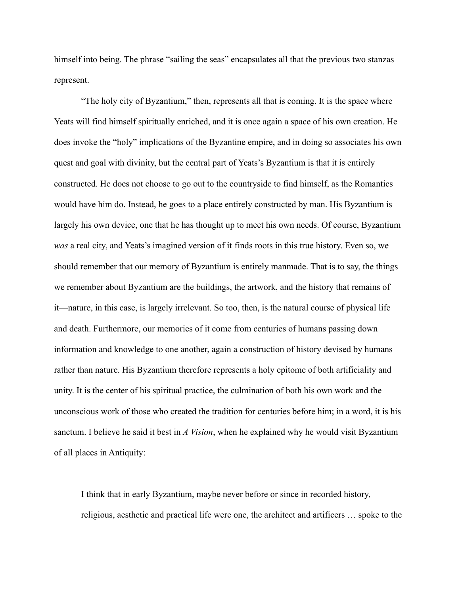himself into being. The phrase "sailing the seas" encapsulates all that the previous two stanzas represent.

"The holy city of Byzantium," then, represents all that is coming. It is the space where Yeats will find himself spiritually enriched, and it is once again a space of his own creation. He does invoke the "holy" implications of the Byzantine empire, and in doing so associates his own quest and goal with divinity, but the central part of Yeats's Byzantium is that it is entirely constructed. He does not choose to go out to the countryside to find himself, as the Romantics would have him do. Instead, he goes to a place entirely constructed by man. His Byzantium is largely his own device, one that he has thought up to meet his own needs. Of course, Byzantium *was* a real city, and Yeats's imagined version of it finds roots in this true history. Even so, we should remember that our memory of Byzantium is entirely manmade. That is to say, the things we remember about Byzantium are the buildings, the artwork, and the history that remains of it—nature, in this case, is largely irrelevant. So too, then, is the natural course of physical life and death. Furthermore, our memories of it come from centuries of humans passing down information and knowledge to one another, again a construction of history devised by humans rather than nature. His Byzantium therefore represents a holy epitome of both artificiality and unity. It is the center of his spiritual practice, the culmination of both his own work and the unconscious work of those who created the tradition for centuries before him; in a word, it is his sanctum. I believe he said it best in *A Vision*, when he explained why he would visit Byzantium of all places in Antiquity:

I think that in early Byzantium, maybe never before or since in recorded history, religious, aesthetic and practical life were one, the architect and artificers … spoke to the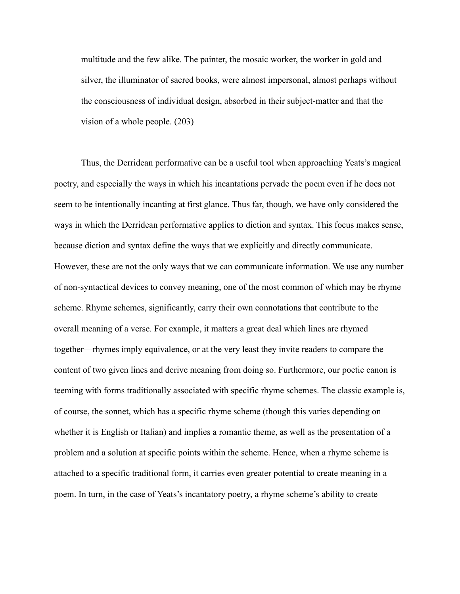multitude and the few alike. The painter, the mosaic worker, the worker in gold and silver, the illuminator of sacred books, were almost impersonal, almost perhaps without the consciousness of individual design, absorbed in their subject-matter and that the vision of a whole people. (203)

Thus, the Derridean performative can be a useful tool when approaching Yeats's magical poetry, and especially the ways in which his incantations pervade the poem even if he does not seem to be intentionally incanting at first glance. Thus far, though, we have only considered the ways in which the Derridean performative applies to diction and syntax. This focus makes sense, because diction and syntax define the ways that we explicitly and directly communicate. However, these are not the only ways that we can communicate information. We use any number of non-syntactical devices to convey meaning, one of the most common of which may be rhyme scheme. Rhyme schemes, significantly, carry their own connotations that contribute to the overall meaning of a verse. For example, it matters a great deal which lines are rhymed together—rhymes imply equivalence, or at the very least they invite readers to compare the content of two given lines and derive meaning from doing so. Furthermore, our poetic canon is teeming with forms traditionally associated with specific rhyme schemes. The classic example is, of course, the sonnet, which has a specific rhyme scheme (though this varies depending on whether it is English or Italian) and implies a romantic theme, as well as the presentation of a problem and a solution at specific points within the scheme. Hence, when a rhyme scheme is attached to a specific traditional form, it carries even greater potential to create meaning in a poem. In turn, in the case of Yeats's incantatory poetry, a rhyme scheme's ability to create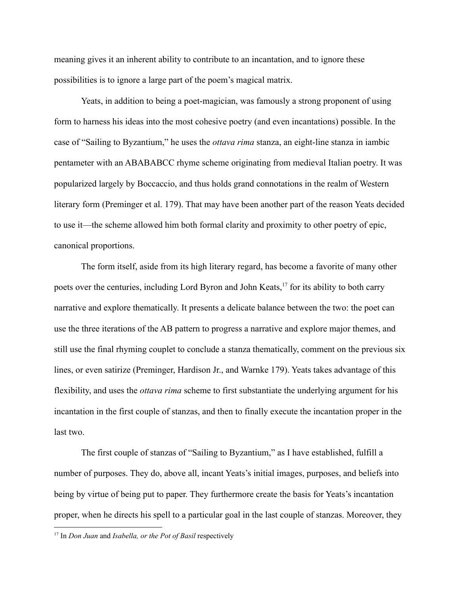meaning gives it an inherent ability to contribute to an incantation, and to ignore these possibilities is to ignore a large part of the poem's magical matrix.

Yeats, in addition to being a poet-magician, was famously a strong proponent of using form to harness his ideas into the most cohesive poetry (and even incantations) possible. In the case of "Sailing to Byzantium," he uses the *ottava rima* stanza, an eight-line stanza in iambic pentameter with an ABABABCC rhyme scheme originating from medieval Italian poetry. It was popularized largely by Boccaccio, and thus holds grand connotations in the realm of Western literary form (Preminger et al. 179). That may have been another part of the reason Yeats decided to use it—the scheme allowed him both formal clarity and proximity to other poetry of epic, canonical proportions.

The form itself, aside from its high literary regard, has become a favorite of many other poets over the centuries, including Lord Byron and John Keats,<sup>17</sup> for its ability to both carry narrative and explore thematically. It presents a delicate balance between the two: the poet can use the three iterations of the AB pattern to progress a narrative and explore major themes, and still use the final rhyming couplet to conclude a stanza thematically, comment on the previous six lines, or even satirize (Preminger, Hardison Jr., and Warnke 179). Yeats takes advantage of this flexibility, and uses the *ottava rima* scheme to first substantiate the underlying argument for his incantation in the first couple of stanzas, and then to finally execute the incantation proper in the last two.

The first couple of stanzas of "Sailing to Byzantium," as I have established, fulfill a number of purposes. They do, above all, incant Yeats's initial images, purposes, and beliefs into being by virtue of being put to paper. They furthermore create the basis for Yeats's incantation proper, when he directs his spell to a particular goal in the last couple of stanzas. Moreover, they

<sup>17</sup> In *Don Juan* and *Isabella, or the Pot of Basil* respectively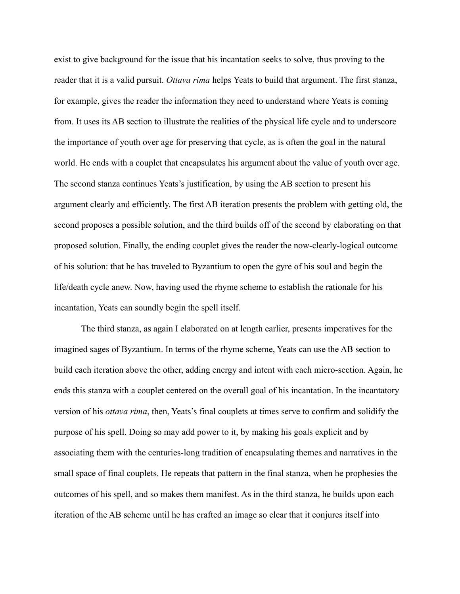exist to give background for the issue that his incantation seeks to solve, thus proving to the reader that it is a valid pursuit. *Ottava rima* helps Yeats to build that argument. The first stanza, for example, gives the reader the information they need to understand where Yeats is coming from. It uses its AB section to illustrate the realities of the physical life cycle and to underscore the importance of youth over age for preserving that cycle, as is often the goal in the natural world. He ends with a couplet that encapsulates his argument about the value of youth over age. The second stanza continues Yeats's justification, by using the AB section to present his argument clearly and efficiently. The first AB iteration presents the problem with getting old, the second proposes a possible solution, and the third builds off of the second by elaborating on that proposed solution. Finally, the ending couplet gives the reader the now-clearly-logical outcome of his solution: that he has traveled to Byzantium to open the gyre of his soul and begin the life/death cycle anew. Now, having used the rhyme scheme to establish the rationale for his incantation, Yeats can soundly begin the spell itself.

The third stanza, as again I elaborated on at length earlier, presents imperatives for the imagined sages of Byzantium. In terms of the rhyme scheme, Yeats can use the AB section to build each iteration above the other, adding energy and intent with each micro-section. Again, he ends this stanza with a couplet centered on the overall goal of his incantation. In the incantatory version of his *ottava rima*, then, Yeats's final couplets at times serve to confirm and solidify the purpose of his spell. Doing so may add power to it, by making his goals explicit and by associating them with the centuries-long tradition of encapsulating themes and narratives in the small space of final couplets. He repeats that pattern in the final stanza, when he prophesies the outcomes of his spell, and so makes them manifest. As in the third stanza, he builds upon each iteration of the AB scheme until he has crafted an image so clear that it conjures itself into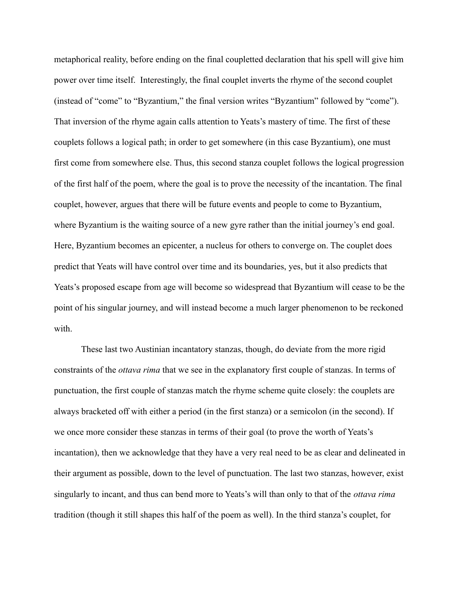metaphorical reality, before ending on the final coupletted declaration that his spell will give him power over time itself. Interestingly, the final couplet inverts the rhyme of the second couplet (instead of "come" to "Byzantium," the final version writes "Byzantium" followed by "come"). That inversion of the rhyme again calls attention to Yeats's mastery of time. The first of these couplets follows a logical path; in order to get somewhere (in this case Byzantium), one must first come from somewhere else. Thus, this second stanza couplet follows the logical progression of the first half of the poem, where the goal is to prove the necessity of the incantation. The final couplet, however, argues that there will be future events and people to come to Byzantium, where Byzantium is the waiting source of a new gyre rather than the initial journey's end goal. Here, Byzantium becomes an epicenter, a nucleus for others to converge on. The couplet does predict that Yeats will have control over time and its boundaries, yes, but it also predicts that Yeats's proposed escape from age will become so widespread that Byzantium will cease to be the point of his singular journey, and will instead become a much larger phenomenon to be reckoned with.

These last two Austinian incantatory stanzas, though, do deviate from the more rigid constraints of the *ottava rima* that we see in the explanatory first couple of stanzas. In terms of punctuation, the first couple of stanzas match the rhyme scheme quite closely: the couplets are always bracketed off with either a period (in the first stanza) or a semicolon (in the second). If we once more consider these stanzas in terms of their goal (to prove the worth of Yeats's incantation), then we acknowledge that they have a very real need to be as clear and delineated in their argument as possible, down to the level of punctuation. The last two stanzas, however, exist singularly to incant, and thus can bend more to Yeats's will than only to that of the *ottava rima* tradition (though it still shapes this half of the poem as well). In the third stanza's couplet, for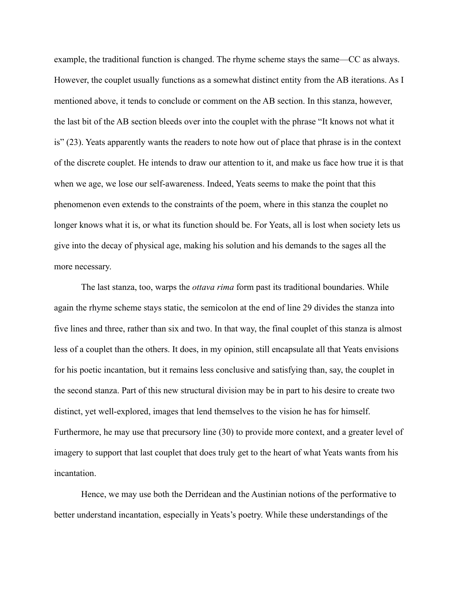example, the traditional function is changed. The rhyme scheme stays the same—CC as always. However, the couplet usually functions as a somewhat distinct entity from the AB iterations. As I mentioned above, it tends to conclude or comment on the AB section. In this stanza, however, the last bit of the AB section bleeds over into the couplet with the phrase "It knows not what it is" (23). Yeats apparently wants the readers to note how out of place that phrase is in the context of the discrete couplet. He intends to draw our attention to it, and make us face how true it is that when we age, we lose our self-awareness. Indeed, Yeats seems to make the point that this phenomenon even extends to the constraints of the poem, where in this stanza the couplet no longer knows what it is, or what its function should be. For Yeats, all is lost when society lets us give into the decay of physical age, making his solution and his demands to the sages all the more necessary.

The last stanza, too, warps the *ottava rima* form past its traditional boundaries. While again the rhyme scheme stays static, the semicolon at the end of line 29 divides the stanza into five lines and three, rather than six and two. In that way, the final couplet of this stanza is almost less of a couplet than the others. It does, in my opinion, still encapsulate all that Yeats envisions for his poetic incantation, but it remains less conclusive and satisfying than, say, the couplet in the second stanza. Part of this new structural division may be in part to his desire to create two distinct, yet well-explored, images that lend themselves to the vision he has for himself. Furthermore, he may use that precursory line (30) to provide more context, and a greater level of imagery to support that last couplet that does truly get to the heart of what Yeats wants from his incantation.

Hence, we may use both the Derridean and the Austinian notions of the performative to better understand incantation, especially in Yeats's poetry. While these understandings of the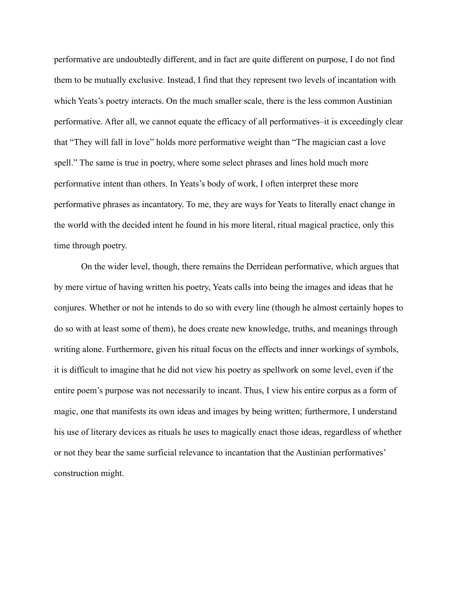performative are undoubtedly different, and in fact are quite different on purpose, I do not find them to be mutually exclusive. Instead, I find that they represent two levels of incantation with which Yeats's poetry interacts. On the much smaller scale, there is the less common Austinian performative. After all, we cannot equate the efficacy of all performatives–it is exceedingly clear that "They will fall in love" holds more performative weight than "The magician cast a love spell." The same is true in poetry, where some select phrases and lines hold much more performative intent than others. In Yeats's body of work, I often interpret these more performative phrases as incantatory. To me, they are ways for Yeats to literally enact change in the world with the decided intent he found in his more literal, ritual magical practice, only this time through poetry.

On the wider level, though, there remains the Derridean performative, which argues that by mere virtue of having written his poetry, Yeats calls into being the images and ideas that he conjures. Whether or not he intends to do so with every line (though he almost certainly hopes to do so with at least some of them), he does create new knowledge, truths, and meanings through writing alone. Furthermore, given his ritual focus on the effects and inner workings of symbols, it is difficult to imagine that he did not view his poetry as spellwork on some level, even if the entire poem's purpose was not necessarily to incant. Thus, I view his entire corpus as a form of magic, one that manifests its own ideas and images by being written; furthermore, I understand his use of literary devices as rituals he uses to magically enact those ideas, regardless of whether or not they bear the same surficial relevance to incantation that the Austinian performatives' construction might.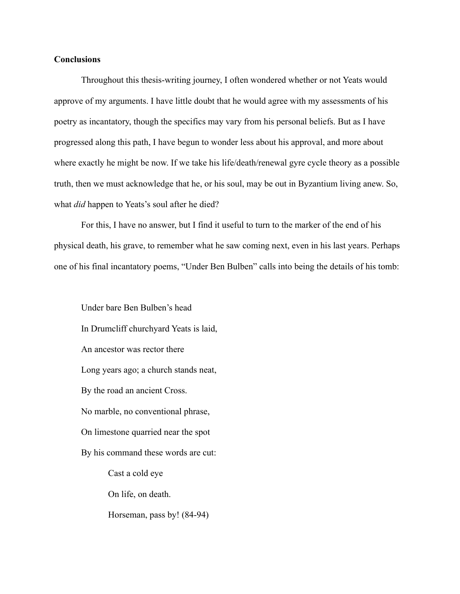## **Conclusions**

Throughout this thesis-writing journey, I often wondered whether or not Yeats would approve of my arguments. I have little doubt that he would agree with my assessments of his poetry as incantatory, though the specifics may vary from his personal beliefs. But as I have progressed along this path, I have begun to wonder less about his approval, and more about where exactly he might be now. If we take his life/death/renewal gyre cycle theory as a possible truth, then we must acknowledge that he, or his soul, may be out in Byzantium living anew. So, what *did* happen to Yeats's soul after he died?

For this, I have no answer, but I find it useful to turn to the marker of the end of his physical death, his grave, to remember what he saw coming next, even in his last years. Perhaps one of his final incantatory poems, "Under Ben Bulben" calls into being the details of his tomb:

Under bare Ben Bulben's head In Drumcliff churchyard Yeats is laid, An ancestor was rector there Long years ago; a church stands neat, By the road an ancient Cross. No marble, no conventional phrase, On limestone quarried near the spot By his command these words are cut: Cast a cold eye On life, on death. Horseman, pass by! (84-94)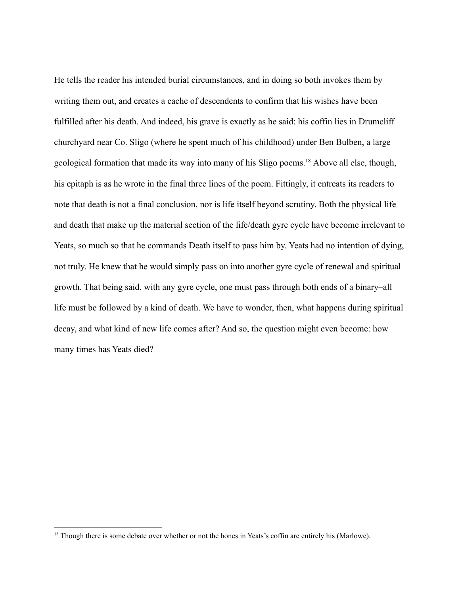He tells the reader his intended burial circumstances, and in doing so both invokes them by writing them out, and creates a cache of descendents to confirm that his wishes have been fulfilled after his death. And indeed, his grave is exactly as he said: his coffin lies in Drumcliff churchyard near Co. Sligo (where he spent much of his childhood) under Ben Bulben, a large geological formation that made its way into many of his Sligo poems.<sup>18</sup> Above all else, though, his epitaph is as he wrote in the final three lines of the poem. Fittingly, it entreats its readers to note that death is not a final conclusion, nor is life itself beyond scrutiny. Both the physical life and death that make up the material section of the life/death gyre cycle have become irrelevant to Yeats, so much so that he commands Death itself to pass him by. Yeats had no intention of dying, not truly. He knew that he would simply pass on into another gyre cycle of renewal and spiritual growth. That being said, with any gyre cycle, one must pass through both ends of a binary–all life must be followed by a kind of death. We have to wonder, then, what happens during spiritual decay, and what kind of new life comes after? And so, the question might even become: how many times has Yeats died?

<sup>&</sup>lt;sup>18</sup> Though there is some debate over whether or not the bones in Yeats's coffin are entirely his (Marlowe).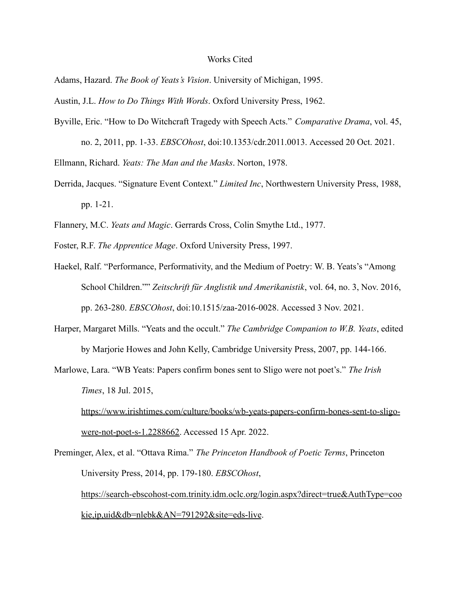### Works Cited

Adams, Hazard. *The Book of Yeats's Vision*. University of Michigan, 1995.

Austin, J.L. *How to Do Things With Words*. Oxford University Press, 1962.

Byville, Eric. "How to Do Witchcraft Tragedy with Speech Acts." *Comparative Drama*, vol. 45,

no. 2, 2011, pp. 1-33. *EBSCOhost*, doi:10.1353/cdr.2011.0013. Accessed 20 Oct. 2021. Ellmann, Richard. *Yeats: The Man and the Masks*. Norton, 1978.

Derrida, Jacques. "Signature Event Context." *Limited Inc*, Northwestern University Press, 1988, pp. 1-21.

Flannery, M.C. *Yeats and Magic*. Gerrards Cross, Colin Smythe Ltd., 1977.

Foster, R.F. *The Apprentice Mage*. Oxford University Press, 1997.

Haekel, Ralf. "Performance, Performativity, and the Medium of Poetry: W. B. Yeats's "Among School Children."" *Zeitschrift für Anglistik und Amerikanistik*, vol. 64, no. 3, Nov. 2016, pp. 263-280. *EBSCOhost*, doi:10.1515/zaa-2016-0028. Accessed 3 Nov. 2021.

Harper, Margaret Mills. "Yeats and the occult." *The Cambridge Companion to W.B. Yeats*, edited by Marjorie Howes and John Kelly, Cambridge University Press, 2007, pp. 144-166.

Marlowe, Lara. "WB Yeats: Papers confirm bones sent to Sligo were not poet's." *The Irish Times*, 18 Jul. 2015,

[https://www.irishtimes.com/culture/books/wb-yeats-papers-confirm-bones-sent-to-sligo](https://www.irishtimes.com/culture/books/wb-yeats-papers-confirm-bones-sent-to-sligo-were-not-poet-s-1.2288662)[were-not-poet-s-1.2288662.](https://www.irishtimes.com/culture/books/wb-yeats-papers-confirm-bones-sent-to-sligo-were-not-poet-s-1.2288662) Accessed 15 Apr. 2022.

Preminger, Alex, et al. "Ottava Rima." *The Princeton Handbook of Poetic Terms*, Princeton University Press, 2014, pp. 179-180. *EBSCOhost*, [https://search-ebscohost-com.trinity.idm.oclc.org/login.aspx?direct=true&AuthType=coo](https://search-ebscohost-com.trinity.idm.oclc.org/login.aspx?direct=true&AuthType=cookie,ip,uid&db=nlebk&AN=791292&site=eds-live) [kie,ip,uid&db=nlebk&AN=791292&site=eds-live](https://search-ebscohost-com.trinity.idm.oclc.org/login.aspx?direct=true&AuthType=cookie,ip,uid&db=nlebk&AN=791292&site=eds-live).